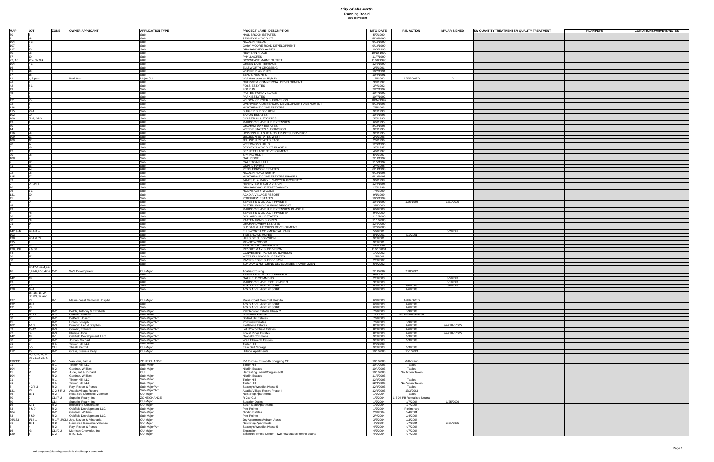| <b>MAP</b>                                            | <b>LOT</b>                           | <b>ZONE</b> | OWNER-APPLICANT                                           | <b>APPLICATION TYPE</b>      | <b>PROJECT NAME - DESCRIPTION</b>                                         | <b>MTG. DATE</b>        | <b>P.B. ACTION</b>        | <b>MYLAR SIGNED</b> | <b>ISW QUANTITY TREATMENTSW QUALITY TREATMENT</b> | <b>PLAN PDFs</b> | <b>CONDITIONS/WAIVERS/NOTES</b> |
|-------------------------------------------------------|--------------------------------------|-------------|-----------------------------------------------------------|------------------------------|---------------------------------------------------------------------------|-------------------------|---------------------------|---------------------|---------------------------------------------------|------------------|---------------------------------|
|                                                       |                                      |             |                                                           |                              | <b>HALL BROOK ESTATES</b>                                                 | 5/9/1990                |                           |                     |                                                   |                  |                                 |
|                                                       |                                      |             |                                                           | ISub                         | <b>SEAVEY'S WOODLOT</b>                                                   | 5/22/1990               |                           |                     |                                                   |                  |                                 |
| $\frac{104}{107}$                                     |                                      |             |                                                           |                              | NICOLIN FIELDS<br>GARY MOORE ROAD DEVELOPMENT                             | 6/13/1990<br>9/12/1990  |                           |                     |                                                   |                  |                                 |
| 117                                                   |                                      |             |                                                           |                              | <b>GRAHAM VIEW ACRES</b>                                                  | 10/3/1990               |                           |                     |                                                   |                  |                                 |
|                                                       |                                      |             |                                                           |                              | <b>REDFERN RIDGE</b>                                                      | 10/10/1990              |                           |                     |                                                   |                  |                                 |
| 22, 16                                                | $1+2, 47+51$                         |             |                                                           | ISub.                        | <b>PHYLLACRES</b><br>DOWNEAST MAINE OUTLET                                | 11/7/1990               |                           |                     |                                                   |                  |                                 |
|                                                       |                                      |             |                                                           |                              | <b>GREEN LAKE TERRACE</b>                                                 | 11/28/1990<br>12/5/1990 |                           |                     |                                                   |                  |                                 |
|                                                       |                                      |             |                                                           |                              | <b>ELLSWORTH CROSSING</b>                                                 | 2/6/1991                |                           |                     |                                                   |                  |                                 |
|                                                       |                                      |             |                                                           |                              | <b>WHISPERING PINES</b>                                                   | 10/2/1991               |                           |                     |                                                   |                  |                                 |
|                                                       |                                      |             | Wal-Mart                                                  |                              | BEAL'S HEIGHTS                                                            | 10/2/1991               | APPROVED                  |                     |                                                   |                  |                                 |
|                                                       | 4, 3 part                            |             |                                                           | Maior CL                     | Wal-Mart store on High St<br>OVERVIEW COMMERCIAL DEVELOPMENT              | 1/1/1992<br>3/4/1992    |                           |                     |                                                   |                  |                                 |
|                                                       |                                      |             |                                                           | ISub.                        | <b>FOSS ESTATES</b>                                                       | 3/4/1992                |                           |                     |                                                   |                  |                                 |
|                                                       |                                      |             |                                                           |                              | FOXRUN                                                                    | 7/22/1992               |                           |                     |                                                   |                  |                                 |
|                                                       |                                      |             |                                                           |                              | <b>PATTEN POND VILLAGE</b><br><b>PARK ESTATES</b>                         | 10/7/1992<br>10/7/1992  |                           |                     |                                                   |                  |                                 |
|                                                       |                                      |             |                                                           |                              | <b>WILSON CORNER SUBDIVISION</b>                                          | 10/14/1992              |                           |                     |                                                   |                  |                                 |
|                                                       |                                      |             |                                                           | <b>Sub</b>                   | <b>OVERVIEW COMMERCIAL DEVELOPMENT AMENDMENT</b>                          | 5/12/1993               |                           |                     |                                                   |                  |                                 |
| $\frac{126}{115}$                                     |                                      |             |                                                           |                              | NORTHEAST COVE ESTATES                                                    | 7/8/1993                |                           |                     |                                                   |                  |                                 |
|                                                       | $20-1$                               |             |                                                           |                              | <b>BULGER SUBDIVISION</b><br>BARON ESTATES                                | 9/8/1993<br>10/6/1993   |                           |                     |                                                   |                  |                                 |
| $\frac{102}{106}$                                     | $32-2, 32-3$                         |             |                                                           |                              | COPPER HILL ESTATES                                                       | 5/3/1995                |                           |                     |                                                   |                  |                                 |
|                                                       |                                      |             |                                                           |                              | MADDOCKS AVENUE EXTENSION                                                 | 6/7/1995                |                           |                     |                                                   |                  |                                 |
|                                                       |                                      |             |                                                           |                              | <b>GRAHAM WAY ESTATES</b>                                                 | 8/10/1995               |                           |                     |                                                   |                  |                                 |
|                                                       |                                      |             |                                                           |                              | <b>WEED ESTATES SUBDIVISION</b><br>HOPKINS HILLS REALTY TRUST SUBDIVISION | 9/6/1995<br>9/6/1995    |                           |                     |                                                   |                  |                                 |
|                                                       |                                      |             |                                                           |                              | <b>JELLISON ESTATES WEST</b>                                              | 2/7/1996                |                           |                     |                                                   |                  |                                 |
|                                                       |                                      |             |                                                           |                              | <b>JELLISON ESTATES EAST</b>                                              | 2/7/1996                |                           |                     |                                                   |                  |                                 |
|                                                       |                                      |             |                                                           | ISub.                        | <b>WESTWOOD HILLS II</b><br><b>SEAVEY'S WOODLOT PHASE II</b>              | 12/4/1996               |                           |                     |                                                   |                  |                                 |
|                                                       |                                      |             |                                                           |                              | SENNETT LANE DEVELOPMENT                                                  | 3/5/1997<br>4/2/1997    |                           |                     |                                                   |                  |                                 |
|                                                       |                                      |             |                                                           | Sub                          | <b>SPRING HILL II</b>                                                     | 5/7/1997                |                           |                     |                                                   |                  |                                 |
| $\begin{array}{c c} \hline 108 \\ \hline \end{array}$ |                                      |             |                                                           |                              | OAK RIDGE<br>CAPE TOASHUH II                                              | 7/10/1997               |                           |                     |                                                   |                  |                                 |
|                                                       |                                      |             |                                                           |                              | <b>GUPTIL FARMS</b>                                                       | 11/5/1997<br>2/4/1998   |                           |                     |                                                   |                  |                                 |
|                                                       |                                      |             |                                                           |                              | <b>PEBBLEBROOK ESTATES</b>                                                | 6/10/1998               |                           |                     |                                                   |                  |                                 |
|                                                       |                                      |             |                                                           |                              | NICOLIN ROAD-NORTH                                                        | 6/10/1998               |                           |                     |                                                   |                  |                                 |
| 115                                                   |                                      |             |                                                           |                              | NORTHEAST COVE ESTATES PHASE II                                           | 6/10/1998               |                           |                     |                                                   |                  |                                 |
|                                                       | $24, 24-5$                           |             |                                                           |                              | JAMES E. & MARY J. SAWYER PROPERTY<br><b>RIVERVIEW II SUBDIVISION</b>     | 9/2/1998<br>12/2/1998   |                           |                     |                                                   |                  |                                 |
|                                                       |                                      |             |                                                           |                              | <b>GRAHAM WAY ESTATES ANNEX</b>                                           | 2/3/1999                |                           |                     |                                                   |                  |                                 |
|                                                       |                                      |             |                                                           |                              | <b>HOSPITALITY WOODS</b>                                                  | 7/8/1999                |                           |                     |                                                   |                  |                                 |
|                                                       |                                      |             |                                                           |                              | <b>ACADIA VILLAGE RESORT</b>                                              | 9/1/1999                |                           |                     |                                                   |                  |                                 |
|                                                       |                                      |             |                                                           |                              | <b>PONDVIEW ESTATES</b><br><b>SEAVEY'S WOODLOT PHASE III</b>              | 10/6/1999<br>10/6/1999  | 10/6/1999                 | 12/1/2000           |                                                   |                  |                                 |
|                                                       |                                      |             |                                                           |                              | <b>PATTEN POND CAMPING RESORT</b>                                         | 3/1/2000                |                           |                     |                                                   |                  |                                 |
|                                                       |                                      |             |                                                           |                              | MADDOCKS AVENUE EXTENSION PHASE II                                        | 6/7/2000                |                           |                     |                                                   |                  |                                 |
|                                                       |                                      |             |                                                           |                              | SEAVEY'S WOODLOT PHASE IV                                                 | 9/6/2000                |                           |                     |                                                   |                  |                                 |
|                                                       |                                      |             |                                                           |                              | DOLLARD HILL ESTATES<br><b>PATTEN POND SHORES</b>                         | 11/1/2000<br>11/1/2000  |                           |                     |                                                   |                  |                                 |
|                                                       |                                      |             |                                                           | Suk                          | <b>ORCHARD VIEW ESTATES</b>                                               | 12/6/2000               |                           |                     |                                                   |                  |                                 |
|                                                       |                                      |             |                                                           |                              | SUYDAM & HUTCHINS DEVELOPMENT                                             | 12/6/2000               |                           |                     |                                                   |                  |                                 |
| $142 \times 42$ 33 & 8-1                              |                                      |             |                                                           |                              | <b>ELLSWORTH COMMERCIAL PARK</b>                                          | 5/2/2001                |                           | 5/2/2001            |                                                   |                  |                                 |
| 103<br>$\frac{1}{138}$                                | 77-1 & 76                            |             |                                                           |                              | <b>TIMBERJACK ACRES</b><br><b>HILLSIDE SUBDIVISION</b>                    | 8/1/2001<br>9/5/2001    | 8/1/2001                  |                     |                                                   |                  |                                 |
| $\frac{135}{2}$                                       |                                      |             |                                                           |                              | MEADOW WOOD                                                               | 9/5/2001                |                           |                     |                                                   |                  |                                 |
|                                                       |                                      |             |                                                           |                              | <b>BEECHLAND TERRACE II</b>                                               | 10/3/2001               |                           |                     |                                                   |                  |                                 |
| 128, 131 9 & 58                                       |                                      |             |                                                           | Sub                          | <b>RESORT WAY SUBDIVISION</b>                                             | 11/21/2001              |                           |                     |                                                   |                  |                                 |
|                                                       |                                      |             |                                                           |                              | CONVENIENT PLACE SUBDIVISION<br><b>WEST ELLSWORTH ESTATES</b>             | 1/2/2002<br>1/2/2002    |                           |                     |                                                   |                  |                                 |
|                                                       |                                      |             |                                                           |                              | <b>RIVERS EDGE SUBDIVISION</b>                                            | 2/6/2002                |                           |                     |                                                   |                  |                                 |
|                                                       |                                      |             |                                                           |                              | SUYDAM & HUTCHINS DEVELOPMENT AMENDMENT                                   | 6/5/2002                |                           |                     |                                                   |                  |                                 |
|                                                       | $ 47,47-1,47-4,47- $                 |             |                                                           |                              |                                                                           |                         |                           |                     |                                                   |                  |                                 |
|                                                       | 5,47-6,47-8,47-9 C-∶                 |             | W/S Development                                           | CU-Major                     | Acadia Crossing<br>SEAVEY'S WOODLOT PHASE V                               | 7/10/2002<br>9/4/2002   | 7/10/2002                 |                     |                                                   |                  |                                 |
| 142                                                   |                                      |             |                                                           |                              | <b>OAKFIELD COMMONS</b>                                                   | 2/5/2003                |                           | 3/5/2003            |                                                   |                  |                                 |
|                                                       |                                      |             |                                                           |                              | MADDOCKS AVE. EXT. PHASE 3                                                | 3/5/2003                |                           | 6/1/2003            |                                                   |                  |                                 |
|                                                       | $11 - 1$                             |             |                                                           | ISub                         | <b>ACADIA VILLAGE RESORT</b><br><b>ACADIA VILLAGE RESORT</b>              | 6/4/2003<br>6/4/2003    | 8/6/2003<br>8/6/2003      | 8/6/2003            |                                                   |                  |                                 |
|                                                       | 15, 16, 17, 24,                      |             |                                                           |                              |                                                                           |                         |                           |                     |                                                   |                  |                                 |
|                                                       | 82, 83, 92 and                       |             |                                                           |                              |                                                                           |                         |                           |                     |                                                   |                  |                                 |
| 137                                                   |                                      |             | Maine Coast Memorial Hospital                             | <b>CU-Major</b>              | Maine Coast Memorial Hospital                                             | 6/4/2003                | APPROVED                  |                     |                                                   |                  |                                 |
| 132<br>131                                            | 18.8                                 |             |                                                           | Sub                          | <b>ACADIA VILLAGE RESORT</b><br><b>ACADIA VILLAGE RESORT</b>              | 6/4/2003<br>6/4/2003    | 8/6/2003<br>8/6/2003      |                     |                                                   |                  |                                 |
|                                                       |                                      |             | Belch, Anthony & Elizabeth                                | Sub-Major                    | Pebblebrook Estates Phase 2                                               | 7/9/2003                | 7/9/2003                  |                     |                                                   |                  |                                 |
|                                                       | $15-12$                              |             | Conklin. Edward                                           | Sub-Minor                    | <b>Woodfield Estates</b>                                                  | 7/9/2003                | No Representation         |                     |                                                   |                  |                                 |
|                                                       |                                      |             | DeBeck, Joseph                                            | Sub-Major/Am                 | <b>Dollard Hill Estates</b>                                               | 7/9/2003                | 7/9/2003                  |                     |                                                   |                  |                                 |
|                                                       | $1 - 1/2$                            |             | Lipton, Joseph<br>Dumont, Leo & Stephen                   | Sub-Major/Am<br>Sub-Major    | <b>Pondview Estates</b><br><b>Fieldstone Estates</b>                      | 7/9/2003<br>8/6/2003    | 8/6/2003                  | 9/7&10-52005        |                                                   |                  |                                 |
|                                                       | $15-12$                              |             | Conklin, Edward                                           | Sub-Minor/Am                 | Lot 12 Woodfield Estates                                                  | 8/6/2003                | 8/6/2003                  |                     |                                                   |                  |                                 |
|                                                       |                                      |             | Phillips, John                                            | Sub-Major                    | <b>Forest Ridge Estates</b>                                               | 8/6/2003                | 8/6/2003                  | 9/7&10-52005        |                                                   |                  |                                 |
| 142                                                   |                                      |             | Oakfield Development, LLC<br>Jordan, Michael              | Sub-Major/Am<br>Sub-Major/Am | Oakfield Commons<br><b>West Ellsworth Estates</b>                         | 9/3/2003                | 9/3/2003                  |                     |                                                   |                  |                                 |
|                                                       |                                      |             | Tinker Hill, LLC                                          | Sub-Minor                    | Tinker Hill                                                               | 9/3/2003<br>9/3/2003    | 9/3/2003                  |                     |                                                   |                  |                                 |
|                                                       |                                      | ICI I       | Theall, Kermit                                            | CU-Major                     | Easy Self Storage<br>Hillside Apartments                                  | 9/3/2003                | 9/3/2003                  |                     |                                                   |                  |                                 |
|                                                       |                                      |             | Grass, Steve & Kelly                                      | CU-Major                     |                                                                           | 10/1/2003               | 10/1/2003                 |                     |                                                   |                  |                                 |
|                                                       | 27, 29, 31, 32, &<br>34/21,22, 23, & |             |                                                           |                              |                                                                           |                         |                           |                     |                                                   |                  |                                 |
| 130/131                                               |                                      |             | VanLoon, James                                            | <b>ZONE CHANGE</b>           | R-1 to C-2-- Ellsworth Shopping Ctr.                                      | 10/1/2003               | Withdrawn                 |                     |                                                   |                  |                                 |
|                                                       |                                      |             | Tinker Hill, LLC                                          | Sub-Minor                    | Tinker Hill                                                               | 10/1/2003               | Tabled                    |                     |                                                   |                  |                                 |
| 104                                                   |                                      |             | Gardner, William<br>Jude, Pat & Richard                   | Sub-Major                    | Nicolin Estates<br><b>Harvesting Loam/Douglas Gott</b>                    | 10/1/2003<br>10/1/2003  | Tabled<br>No Action Taken |                     |                                                   |                  |                                 |
|                                                       |                                      |             | Gardner, William                                          | Sub-Major                    | Nicolin Estates                                                           | 11/5/2003               |                           |                     |                                                   |                  |                                 |
|                                                       |                                      |             | Tinker Hill, LLC                                          | Sub-Minor                    | Tinker Hill                                                               | 12/3/2003               | Tabled                    |                     |                                                   |                  |                                 |
|                                                       |                                      |             | Tinker Hill, LLC                                          | Sub-Major                    | Tinker Hill                                                               | 12/3/2003               | No Action Taken           |                     |                                                   |                  |                                 |
|                                                       | $4 - 2/4 - 3$                        |             | Ray, Robert & Persis<br>C-2 & R-2   Acadia Village Resort | Sub-Major/Am<br>Sub-Major/Am | Seavey's Woodlot Phase 5<br>Acadia Village Resort Phase II                | 12/3/2003<br>12/3/2003  | Tabled<br>12/3/2003       |                     |                                                   |                  |                                 |
|                                                       | $16 - 1$                             |             | Next Step Domestic Violence                               | CU-Major                     | <b>Next Step Apartments</b>                                               | 1/7/2004                | Tabled                    |                     |                                                   |                  |                                 |
|                                                       |                                      | $CLI/R-2$   | Superior Realty, Inc                                      | ZONE CHANGE                  | R-2 to CLI                                                                | 1/7/2004                | -7-04 PB Remained Neutral |                     |                                                   |                  |                                 |
|                                                       |                                      | CLI.        | Superior Realty, Inc                                      | CU-Major                     | <b>Superior Docks</b>                                                     | 1/7/2004                | 1/7/2004                  | 1/25/2006           |                                                   |                  |                                 |
|                                                       | $62-1$<br>8&9                        |             | Beechland Corporation<br>Oakfield Development, LLC        | CU-Major<br>Sub-Major        | South Gate Apartments<br>Pine Pointe                                      | 1/7/2004<br>1/7/2004    | 1/7/2004<br>Preliminary   |                     |                                                   |                  |                                 |
| 104                                                   |                                      |             | Gardner, William                                          | Sub-Major                    | <b>Nicolin Estates</b>                                                    | 2/4/2004                | 2/4/2004                  |                     |                                                   |                  |                                 |
|                                                       | 8 & 9                                |             | Oakfield Development, LLC                                 | Sub-Major                    | Pine Pointe                                                               | 2/4/2004                | 2/4/2004                  |                     |                                                   |                  |                                 |
| 26/133                                                | $1/14-1$                             |             | R-1/R-2/CLI Joy, Steven & Athanasia                       | <b>CU-Major</b>              | Joy Apartments/Abram Acres                                                | 3/3/2004                | 3/3/2004                  |                     |                                                   |                  |                                 |
| 66                                                    | $16-1$                               |             | Next Step Domestic Violence<br>Ray, Robert & Persis       | CU-Major<br>Sub-Major/Am     | Next Step Apartments<br>Seavey's Woodlot Phase 5                          | 4/7/2004<br>4/7/2004    | 4/7/2004<br>4/7/2004      | 7/21/2005           |                                                   |                  |                                 |
|                                                       | -143                                 |             | CLI/C-2 Morrison Chevrolet, Inc                           | CU-Major                     | Expansion                                                                 | 4/7/2004                | 4/7/2004                  |                     |                                                   |                  |                                 |
| 129                                                   |                                      |             | ETC, LLC                                                  | <b>CU-Major</b>              | Ellsworth Tennis Center - Two new outdoor tennis courts                   | 4/7/2004                | 4/7/2004                  |                     |                                                   |                  |                                 |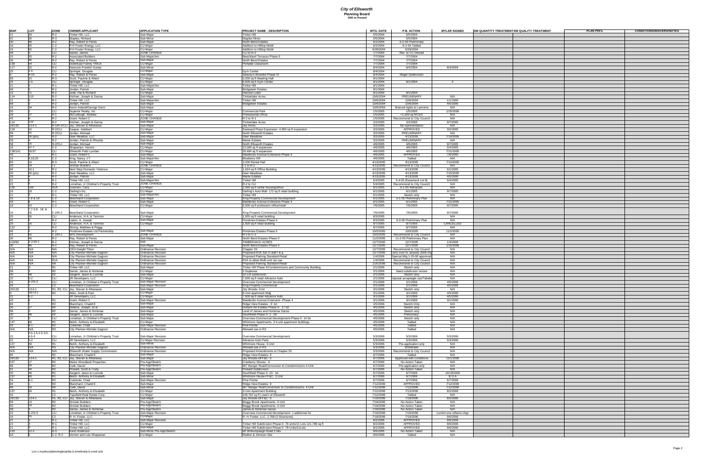| <b>MAP</b>                 | <b>ILOT</b>               | <b>ZONE</b>      | OWNER-APPLICANT                                                      | <b>APPLICATION TYPE</b>                                | <b>PROJECT NAME - DESCRIPTION</b>                                                                     | <b>MTG. DATE</b>       | <b>P.B. ACTION</b>                                          | <b>MYLAR SIGNED</b>              | <b>SW QUANTITY TREATMENTSW QUALITY TREATMENT</b> | <b>PLAN PDFs</b> | <b>CONDITIONS/WAIVERS/NOTES</b> |
|----------------------------|---------------------------|------------------|----------------------------------------------------------------------|--------------------------------------------------------|-------------------------------------------------------------------------------------------------------|------------------------|-------------------------------------------------------------|----------------------------------|--------------------------------------------------|------------------|---------------------------------|
|                            |                           |                  | Tinker Hill, LLC<br>Staples, Richard                                 | Sub-Major<br>Sub-Minor                                 | Tinker Hill<br><b>Staples Minor</b>                                                                   | 5/5/2004<br>5/5/2004   | 5/5/2004<br>5/5/2004                                        |                                  |                                                  |                  |                                 |
|                            |                           |                  | Ray, Robert & Persis                                                 | Sub-Major                                              | <b>North Bend Estates</b>                                                                             | 6/2/2004               | 6-2-04 Preliminary                                          |                                  |                                                  |                  |                                 |
|                            |                           |                  | R H Foster Energy, LLC                                               | <b>CU-Major</b>                                        | Addition to Hilltop Mobil<br>Addition to Hilltop Mobil                                                | 6/2/2004<br>6/29/2004  | 6-2-04 Tabled<br>6/29/2004                                  |                                  |                                                  |                  |                                 |
|                            |                           |                  | R H Foster Energy, LLC<br>Sarosi, James                              | CU-Major<br>ZONE CHANGE                                | CLI to R-2                                                                                            | 7/7/2004               | Rec. to CC Denied                                           |                                  |                                                  |                  |                                 |
|                            |                           |                  | <b>Associated Builders</b>                                           | Sub-Major/Am<br>Sub-Major                              | <b>Beechland Terraces Phase II</b>                                                                    | 7/7/2004               | 7/7/2004<br>7/7/2004                                        |                                  |                                                  |                  |                                 |
|                            |                           | CH.              | Ray, Robert & Persis<br>DownEast Family YMCA                         | CU-Major                                               | North Bend Estates<br>Portable Classroom                                                              | 7/7/2004<br>7/7/2004   | 7/7/2004                                                    |                                  |                                                  |                  |                                 |
|                            |                           |                  | <b>Hancock Franklin Surety</b>                                       | Sub-Minor                                              |                                                                                                       | 8/4/2004               | 8/4/2004                                                    | 8/4/2004                         |                                                  |                  |                                 |
|                            | $1 - 5$<br>4-14           |                  | Springer, Douglas<br>Ray, Robert & Persis                            | CU-Major<br>Sub-Major                                  | <b>Gym Center</b><br>Seavey's Woodlot Phase VI                                                        | 8/4/2004<br>8/4/2004   | <b>Illegal Subdivision</b>                                  |                                  |                                                  |                  |                                 |
|                            |                           |                  | Scott, Pauline & Albert                                              | <b>CU-Major</b>                                        | 3,200 sq ft Meeting Hall                                                                              | 9/1/2004               |                                                             |                                  |                                                  |                  |                                 |
|                            |                           |                  | Springer, Douglas<br>Tinker Hill, LLC                                | <b>CU-Major</b><br>Sub-Major/Am                        | 6,500 sq ft Gym Center<br><b>Tinker Hill</b>                                                          | 9/1/2004<br>9/1/2004   | 9/1/2004                                                    | X                                |                                                  |                  |                                 |
|                            |                           |                  | Jordan, Patrick                                                      | Sub-Major                                              | <b>Bridgetwin Estates</b>                                                                             | 9/1/2004               |                                                             |                                  |                                                  |                  |                                 |
|                            |                           |                  | Jude, Pat & Richard<br>Kitchen, Joseph & Donna                       | CU-Major<br>Sub-Major                                  | Harvest Loam<br><b>Timberlake Acres</b>                                                               | 9/1/2004<br>10/6/2004  | 9/1/2004<br>PRELIMINARY                                     | N/A                              |                                                  |                  |                                 |
|                            |                           |                  | Tinker Hill, LLC                                                     | Sub-Major/Am                                           | Tinker Hill                                                                                           | 10/6/2004              | 10/6/2004                                                   | 1/1/1900                         |                                                  |                  |                                 |
|                            |                           |                  | Jordan, Patrick<br>Kevin Ireland/George Dunn                         | Sub-Major<br>Sub-Major                                 | <b>Bridgetwin Estates</b>                                                                             | 10/6/2004<br>10/6/2004 | 10/6/2004<br>Waived rights to Lamoine                       | 4/5/2006<br>N/A                  |                                                  |                  |                                 |
|                            |                           |                  | Superior Realty, Inc                                                 | CU-Major<br>CU-Major                                   | <b>Commercial Park</b>                                                                                | 1/5/2005               | 1/5/2005                                                    | 1/25/2006                        |                                                  |                  |                                 |
|                            |                           |                  | McCullough, Andrew<br>Grant, Robert C                                | ZONE CHANGE                                            | <b>Professional Office</b><br>$R-2$ to $R-1$                                                          | 1/5/2005<br>1/5/2005   | <1,500 sq ft/CEO<br>Recommend to City Council               | N/A<br>N/A                       |                                                  |                  |                                 |
|                            |                           |                  | Kitchen, Joseph & Donna                                              | Sub-Major                                              | Timberlake Acres                                                                                      | 2/2/2005               | 2/2/2005                                                    | 9/7/2005                         |                                                  |                  |                                 |
| 26/133                     | $1/14-1$                  | $R-2/CLI$        | R-1/R-2/CLI Joy, Steven & Athanasia<br>Gaspar, Adelbert              | Sub-Major                                              | <b>Joy Acres</b><br>Eastward Plaza Expansion- 4,900 sq ft expansion                                   | 3/2/2005<br>3/2/2005   | No representation<br>APPROVED                               | N/A<br>3/2/2005                  |                                                  |                  |                                 |
|                            |                           | २-2/CLI          | Jordan, Michael                                                      | CU-Major<br>Sub-Major                                  | North Ellsworth Estates                                                                               | 3/2/2005               | PRELIMINARY                                                 | N/A                              |                                                  |                  |                                 |
|                            | 28(p/o)                   |                  | Deer Meadow, LLC<br>Jordan, Patrick & Rhonda                         | Sub-Major<br>Sub-Major                                 | Deer Meadows<br><b>Maine Estates</b>                                                                  | 3/2/2005<br>3/2/2005   | 4/13/2005<br>PRELIMINARY                                    | 7/14/2005<br>N/A                 |                                                  |                  |                                 |
|                            |                           | $R-2/CLI$        | Jordan, Michael                                                      | Sub-Major                                              | North Ellsworth Estates                                                                               | 4/6/2005               | 4/6/2005                                                    | 9/7/2005                         |                                                  |                  |                                 |
|                            | $47-7$<br>55/37           |                  | Shapazian, Vernon<br><b>Ellsworth Falls Lumber</b>                   | CU-Major<br>CU-Major                                   | 12,000 sq ft expansion                                                                                | 4/6/2005               | 4/6/2005<br>4/6/2005                                        | 5/4/2005<br>7/21/2005            |                                                  |                  |                                 |
| 138/141<br>$\frac{43}{16}$ |                           |                  | Grant, Robert C                                                      | Sub-Major                                              | 29,484 sq ft expansion<br>Maddocks Avenue Extension-Phase 4                                           | 4/6/2005<br>4/6/2005   | <b>APPROVED</b>                                             | 7/6/2005                         |                                                  |                  |                                 |
|                            | 8,18,20                   |                  | King, Nancy J.T.                                                     |                                                        | <b>Blueberry Hill</b>                                                                                 | 4/6/2005               | Tabled                                                      | N/A                              |                                                  |                  |                                 |
|                            |                           |                  | Scott, Pauline & Albert<br><b>Sinclair Builders</b>                  | Sub-Major<br>CU-Major<br>ZONE CHANGE                   | 3,200 Rental Hall<br>$I-1$ to R-2                                                                     | 4/13/2005<br>4/13/2005 | 4/13/2005<br>Recommend to City Council                      | 7/14/2005<br>N/A                 |                                                  |                  |                                 |
|                            | $16-1$                    |                  | Next Step Domestic Violence                                          | CU-Major                                               | 1,624 sq ft Office Building                                                                           | 4/13/2005              | 4/13/2005                                                   | 6/1/2005                         |                                                  |                  |                                 |
|                            | 28(p/o)                   |                  | Deer Meadow, LLC<br>Jordan, Patrick                                  | Sub-Major<br>Sub-Major                                 | Deer Meadows<br><b>Maine Estates</b>                                                                  | 4/13/2005<br>4/13/2005 | 4/13/2005<br>4/13/2005                                      | 7/15/2005<br>4/5/2006            |                                                  |                  |                                 |
|                            |                           |                  | Tinker Hill, LLC                                                     | Sub-Major/Am                                           | Tinker Hill                                                                                           | 5/4/2005               | 5-4-05 (Easement Lot 8)                                     | 5/4/2005                         |                                                  |                  |                                 |
|                            | 149.                      | R <sub>1</sub> A | Linnehan, Jr Children's Property Trust<br>Guerrieri, Cara            | <b>ZONE CHANGE</b><br><b>CU-Major</b>                  | R-2 to CLI<br>2,560 sq ft rental housing/office                                                       | 5/4/2005<br>6/1/2005   | <b>Recommend to City Council</b><br>6-1-05 Retracted        | N/A<br>N/A                       |                                                  |                  |                                 |
|                            |                           |                  | Darling's Inc.<br>Tinker Hill, LLC                                   | <b>CU-Major</b>                                        | Darling's Auto Mall- 172 sq ft retail building                                                        | 6/1/2005               | 6/1/2005                                                    | 9/7/2005                         |                                                  |                  |                                 |
|                            | 7,8 & 18                  |                  | <b>Beechland Corporation</b>                                         | Sub-Major/Am<br>Sub-Major                              | Tinker Hill<br>King Property Commercial Development                                                   | 6/1/2005<br>6/1/2005   | Sketch only<br>6-1-05 Preliminary Plan                      | N/A<br>N/A                       |                                                  |                  |                                 |
|                            |                           |                  | Grant, Robert C                                                      | Sub-Major                                              | Maddocks Avenue Extension-Phase 4                                                                     | 6/1/2005               | 6/1/2005                                                    | 7/21/2005                        |                                                  |                  |                                 |
|                            | $7,7-2,8, 18, 8$          |                  | <b>Beechland Corporation</b>                                         | CU-Major                                               | 5,500 sq ft profession office/retail                                                                  | 7/6/2005               | 7/6/2005                                                    | 9/7/2005                         |                                                  |                  |                                 |
|                            |                           | $C-2/R-2$        | <b>Beechland Corporation</b>                                         | Sub-Major                                              | King Property Commercial Development                                                                  | 7/6/2005               | 7/6/2005                                                    | 9/7/2005                         |                                                  |                  |                                 |
|                            |                           |                  | Anderson, H.A. & Tammie<br>Lipton, A. Joseph                         | <b>CU-Major</b><br>Sub-Major                           | 1,920 sq ft retail building<br>Pondview Estates Phase II                                              | 8/3/2005<br>8/3/2005   | 8-3-05 Preliminary Plan                                     | N/A<br>N/A                       |                                                  |                  |                                 |
|                            |                           |                  | Anderson, H.A. & Tammie                                              | <b>CU-Major</b>                                        | 1,920 sq ft retail building                                                                           | 9/7/2005               | 9/7/2005                                                    | CANCELLED                        |                                                  |                  |                                 |
|                            |                           |                  | Strong, Matthew & Peggy<br>Pondview Estates Ltd Partnership          | Sub-Major                                              | Pondview Estates Phase II                                                                             | 9/7/2005<br>10/5/2005  | 9/7/2005<br>10/5/2005                                       | N/A<br>11/2/2005                 |                                                  |                  |                                 |
|                            |                           | $C - 2/R - 2$    | W/S Development                                                      | <b>ZONE CHANGE</b>                                     | R-2 to C-2                                                                                            | 10/5/2005              | Recommend to City Council                                   | N/A                              |                                                  |                  |                                 |
| 103/93                     | $2 - 1/19 - 1$            |                  | Ray, Robert & Persis<br>Kitchen, Joseph & Donna                      | Sub-Major                                              | North Bend Estates Phase II<br><b>TIMBERJACK ACRES</b>                                                | 11/2/2005<br>12/7/2005 | 11-2-05 Preliminary Plan<br>12/7/2005                       | N/A<br>1/4/2006                  |                                                  |                  |                                 |
|                            |                           |                  | Ray, Robert & Persis                                                 | Sub-Major                                              | North Bend Estates Phase II                                                                           | 12/7/2005              | 12/7/2005                                                   | 1/25/2006                        |                                                  |                  |                                 |
| N/A<br>N/A                 |                           |                  | <b>CEO-Dwight Tilton</b><br>City Planner-Michele Gagnon              | Ordinance Revision<br>Ordinance Revision               | Chapter 33<br>Proposed-R1A Sec D add f & g                                                            | 12/7/2005<br>12/7/2005 | Recommend to City Council<br>Carry over to January 2006 mtg | N/A<br>N/A                       |                                                  |                  |                                 |
| N/A                        | N/A<br>IN/A               |                  | City Planner-Michele Gagnon                                          | <b>Ordinance Revision</b>                              | <b>Proposed Parking Standard-Retail</b>                                                               | 1/4/2006               | Special Mtg 1-25-06 approved                                | N/A                              |                                                  |                  |                                 |
|                            | N/A                       |                  | <b>City Planner-Michele Gagnon</b>                                   | <b>Ordinance Revision</b><br><b>Ordinance Revision</b> | R1A to allow Multi-unit res use                                                                       | 1/4/2006               | Recommend to City Council                                   | N/A                              |                                                  |                  |                                 |
|                            | IN/A                      |                  | City Planner-Michele Gagnon<br>inker Hill, LLC                       | Sub-Major                                              | Proposed Parking Standard-Retail<br>Tinker Hill Phase II/Condominiums and Community Building          | 1/25/2006<br>2/1/2006  | Recommend to City Council<br>Sketch only                    | N/A<br>N/A                       |                                                  |                  |                                 |
|                            |                           |                  | Sarosi, James & Hortense                                             | <b>CU-Major</b>                                        | 2 Duplexes                                                                                            | 2/1/2006               | Need subdivsion review                                      | N/A                              |                                                  |                  |                                 |
|                            |                           |                  | Sargent, Jason & Lucinda<br>JR Developers, LLC                       | Sub-Major<br><b>CU-Major</b>                           | 10-Lot subdivision<br>7,000 sq ft retail Advance Auto                                                 | 2/1/2006<br>2/1/2006   | Sketch only<br>roposal acceptagle use/Tabele                | N/A<br>N/A                       |                                                  |                  |                                 |
|                            | $5 - 2/5 - 3$             | CL L             | Linnehan, Jr Children's Property Trust                               | Sub-Major Revision                                     | <b>Overview Commercial Development</b>                                                                | 2/1/2006               | 2/1/2006                                                    | 4/5/2006                         |                                                  |                  |                                 |
| 26/133 1/14-1              |                           |                  | <b>Beechland Corporation</b><br>R1, R2, CLI Joy, Steven & Athanasia  | <b>Sub-Major Revision</b><br>Sub-Major                 | King Property Commercial<br>Joy Woods- 6 lot                                                          | 2/1/2006<br>3/1/2006   | 2/1/2006<br>Sketch only                                     | 4/5/2006<br>N/A                  |                                                  |                  |                                 |
|                            | $18/73-1$                 |                  | Allen, Scott & Pam                                                   | CU-Major                                               | 6-Unit apartment bldg                                                                                 | 3/1/2006               | 3/1/2006                                                    | 4/5/2006                         |                                                  |                  |                                 |
|                            |                           |                  | JR Developers, LLO<br>Grant, Robert C                                | CU-Major<br>Sub-Major Revision                         | 7,000 sq ft retail Advance Auto<br>Maddocks Avenue Extension - Phase 4                                | 3/1/2006<br>3/1/2006   | 3/1/2006<br>3/1/2006                                        | 4/5/2006<br>3/1/2006             |                                                  |                  |                                 |
|                            |                           |                  | Blanchard, Chadd E                                                   | Sub-Major                                              | Ridge View Estates - 9 lot                                                                            | 4/5/2006               | <b>Sketch Only</b>                                          | N/A                              |                                                  |                  |                                 |
|                            |                           |                  | Debeck, Joseph, et al<br>Sarosi, James & Hortense                    | Sub-Major<br>Sub-Major                                 | Dollard Hill Estates Phase II- 17 lot<br>Land of James and Hortense Sarosi                            | 4/5/2006<br>4/5/2006   | Sketch only<br>Sketch only                                  | N/A<br>N/A                       |                                                  |                  |                                 |
|                            |                           |                  | Sargent, Jason & Lucinda                                             | Sub-Major                                              | Southfield-Phase II- 1- lot                                                                           | 4/5/2006               | Preliminary                                                 | N/A                              |                                                  |                  |                                 |
|                            |                           |                  | Linnehan, Jr Children's Property Trust<br>Belch, Anthony & Elizabeth | Sub-Major<br><b>CU-Major</b>                           | Overview Commercial Development-Phase II- 14 lot<br>Whitmore Apartments- 3 4-unit apartment buildings | 4/5/2006<br>4/5/2006   | Sketch only<br>Tabled                                       | N/A<br>N/A                       |                                                  |                  |                                 |
|                            |                           |                  | Cukierski, Chad                                                      | <b>Sub-Maior Revision</b>                              | <b>Pine Pointe</b>                                                                                    | 4/5/2006               | Tabled                                                      | N/A                              |                                                  |                  |                                 |
|                            | N/A<br>$5,5-1,5-2,5-3,5-$ |                  | City Planner-Michele Gagnon                                          | <b>Ordinance Revision</b>                              | Allowed use in R3                                                                                     | 4/5/2006               | Tabled                                                      | N/A                              |                                                  |                  |                                 |
|                            |                           |                  | Linnehan, Jr Children's Property Trust                               | Sub-Major Revision                                     | Overview Commercial Development                                                                       | 5/3/2006               | 5/3/2006                                                    | 5/3/2006                         |                                                  |                  |                                 |
|                            |                           |                  | JR Developers, LLC<br>Belch, Anthony & Elizabeth                     | <b>CU-Major Revision</b><br>Sub-Minor                  | Advance Auto Parts<br>Whitmore House- 3-Unit                                                          | 5/3/2006<br>5/3/2006   | 5/3/2006<br>Pre-application only                            | 5/3/2006<br>N/A                  |                                                  |                  |                                 |
| N/A                        | N/A                       |                  | <b>City Planner-Michele Gagnon</b>                                   | Ordinance Revision                                     | Allowed use in R3                                                                                     | 5/3/2006               | Withdrawn                                                   | N/A                              |                                                  |                  |                                 |
| N/A                        | N/A                       |                  | Ellsworth Water Supply Commission<br>Blanchard, Chadd E              | <b>Ordinance Revision</b><br>Sub-Major                 | Proposed Amendments to Chapter 55<br>Ridge View Estates- 9                                            | 5/3/2006<br>6/7/2006   | <b>Recommend to City Council</b><br>Tabled                  | N/A<br>N/A                       |                                                  |                  |                                 |
| 26/133                     | $1/14 - 1$                |                  | R1, R2, CLI Joy, Steven & Athanasia                                  | Sub-Major                                              | Joy Woods-DFF&C-6                                                                                     | 6/7/2006               | <b>Approved with Conditions</b>                             | 11/1/2006                        |                                                  |                  |                                 |
|                            |                           |                  | Maine Woodland Properties                                            | Pre-App/Sketch                                         | Cranberry Shores - 6                                                                                  | 6/7/2006               | No Action Taken                                             | N/A<br>N/A                       |                                                  |                  |                                 |
|                            |                           |                  | Cwik, David<br>Pickard, Scott & Trudy                                | Pre-App/Sketch<br>Pre-App/Sketch                       | 667 Bangor Road/Conversion to Condominiums 4-Unit<br><b>Pickard Subdivision</b>                       | 6/7/2006<br>6/7/2006   | Pre-application only<br>No Action Taken                     | N/A                              |                                                  |                  |                                 |
|                            |                           |                  | Sargent, Jason & Lucinda<br>Belch, Anthony & Elizabeth               | Sub-Major<br>Sub-Minor                                 | Southfield-Phase II- 10- lot<br>Whitmore House-FF&C- 3 Unit                                           | 6/7/2006<br>6/7/2006   | 6/7/2006<br>6/7/2006                                        | 10/18/2006<br>B.O.A              |                                                  |                  |                                 |
|                            |                           |                  | Cukierski, Chad                                                      | Sub-Major Revision                                     | <b>Pine Pointe</b>                                                                                    | 6/7/2006               | 6/7/2006                                                    | 6/7/2006                         |                                                  |                  |                                 |
|                            |                           |                  | Blanchard, Chadd E<br>Cwik, David                                    | Sub-Major<br>Sub-Minor                                 | Ridge View Estates- 9<br>667 Bangor Rosf/Conversion to Condominiums- 4-Unit                           | 7/12/2006              | APPROVED                                                    | 7/12/2006                        |                                                  |                  |                                 |
|                            |                           |                  | Belch, Anthony & Elizabeth                                           |                                                        | 3-Unit Apartment Building                                                                             | 7/12/2006<br>7/12/2006 | 7/12/2006<br>7/12/2006                                      | 7/12/2006<br>8/2/2006            |                                                  |                  |                                 |
|                            |                           |                  | <b>Topsfield Real Estate Corp.</b>                                   | CU-Major<br>CU-Major                                   | 138,762 sq ft Lowe's of Ellsworth                                                                     | 7/12/2006              | Tabled                                                      | N/A                              |                                                  |                  |                                 |
| 26/133                     | $1/14 - 1$                |                  | R1, R2, CLI Joy, Steven & Athanasia<br><b>Sinclair Builders</b>      | Sub-Major<br>Pre-App/Sketch                            | Joy Woods-DFF&C- 6<br>Boggy Brook Apartments- 4-Unit                                                  | 7/19/2006<br>7/19/2006 | 7/19/2006<br>No Action Taken                                | 8/2/2006<br>N/A                  |                                                  |                  |                                 |
|                            |                           |                  | Sinclair Builders                                                    | Pre-App/Sketch                                         | Boggy Brook Apartments- 4-Unit                                                                        | 7/19/2006              | No Action Taken                                             | N/A                              |                                                  |                  |                                 |
|                            | $5 - 2/5 - 3$             |                  | Sarosi, James & Hortense<br>Linnehan, Jr Children's Property Trust   | Pre-App/Sketch<br><b>Sub-Major Revision</b>            | James & Hortense Sarosi<br>Overview Commercial Development- 1 additional lot                          | 7/19/2006<br>7/19/2006 | No Action Taken<br>7/19/2006                                | N/A<br>current one reflects chgs |                                                  |                  |                                 |
|                            |                           |                  | R. H. Foster, LLC                                                    | <b>CU-Major</b>                                        | R. H. Foster, LLC- 2,768 (2 Structures)                                                               | 7/19/2006              | 7/19/2006                                                   | 9/6/2006                         |                                                  |                  |                                 |
|                            |                           |                  | inker Hill, LLC<br>Tinker Hill, LLC                                  | Sub-Major Revision<br><b>CU-Major</b>                  | Tinker Hill Subdivision Phase II- 78 units/11 Lots 121,788 sq ft                                      | 8/2/2006<br>8/2/2006   | APPROVED<br>APPROVED                                        | 9/6/2006<br>9/6/2006             |                                                  |                  |                                 |
|                            |                           |                  | Tinker Hill, LLC                                                     | Sub-Major<br>Sub-Minor Pre-App/Sketch                  | Tinker Hill Subdivision Phase II- 78-Units/11Lots                                                     | 8/2/2006               | APPROVED                                                    | 9/6/2006                         |                                                  |                  |                                 |
| $\overline{120}$           | $12 - 2$                  |                  | Karin Anderson<br>C-2, R-2 Vernon and Lois Shapazian                 | CU-Major                                               | off Wnkumpaugh Road 3 lots<br>Redlon & Johnson Site                                                   | 9/6/2006<br>9/6/2006   | No Action Taken<br>Tabled                                   | N/A<br>N/A                       |                                                  |                  |                                 |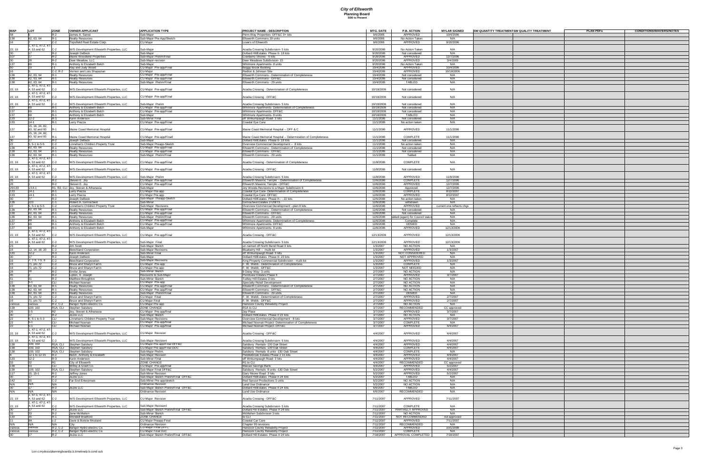| MAP                       | <b>LOT</b>                           | <b>ZONE</b>           | <b>OWNER-APPLICANT</b>                                                 | <b>APPLICATION TYPE</b>                                                    | <b>PROJECT NAME - DESCRIPTION</b>                                                               | <b>MTG. DATE</b>         | <b>P.B. ACTION</b>                          | <b>MYLAR SIGNED</b>              | <b>SW QUANTITY TREATMENTSW QUALITY TREATMENT</b> | <b>PLAN PDFs</b> | <b>CONDITIONS/WAIVERS/NOTES</b> |
|---------------------------|--------------------------------------|-----------------------|------------------------------------------------------------------------|----------------------------------------------------------------------------|-------------------------------------------------------------------------------------------------|--------------------------|---------------------------------------------|----------------------------------|--------------------------------------------------|------------------|---------------------------------|
|                           | 62, 63, 64                           |                       | James A, Sarosi<br><b>Realty Resources</b>                             | Sub-Major<br>Sub-Major Pre-App/Sketch                                      | Penn Way Properties- DFF&C 3+ lots<br>Ellsworth Commons 29 units                                | 9/6/2006<br>9/6/2006     | APPROVED<br>No Action Taken                 | 10/4/2006<br>N/A                 |                                                  |                  |                                 |
|                           |                                      |                       | <b>Topsfield Real Estate Corp.</b>                                     | <b>CU-Major</b>                                                            | Lowe's of Ellsworth                                                                             | 9/6/2006                 | APPROVED                                    | 9/20/2006                        |                                                  |                  |                                 |
|                           | 1, 47-1, 47-2, 47-                   |                       |                                                                        |                                                                            |                                                                                                 |                          | No Action Taken                             | N/A                              |                                                  |                  |                                 |
| 22, 16                    | 4, 53 and 62                         |                       | W/S Development Ellsworth Properties, LLC<br>Joseph DeBeck             | Sub-Major<br>Sub-Maior                                                     | Acadia Crossing Subdivision- 5 lots<br>Dollard HillEstates Phase II-18 lots                     | 9/20/2006<br>9/20/2006   | Not considered                              | N/A                              |                                                  |                  |                                 |
|                           |                                      |                       | <b>Maine Woodland Properties</b>                                       | Sub-Major Prelim/Final                                                     | Cranberry Shores - 6 lots                                                                       | 9/20/2006                | APPROVED                                    | 12/7/2006                        |                                                  |                  |                                 |
|                           |                                      |                       | Deer Meadow, LLC<br>Anthony & Elizabeth Belch                          | Sub-Major-revision<br>Sub-Major                                            | Deer Meadows Subdivision- 15<br>Whitmore Apartments- 8 units                                    | 9/20/2006<br>9/20/2006   | APPROVED<br>No Action Taken                 | 3/4/2009<br>N/A                  |                                                  |                  |                                 |
|                           |                                      |                       | Ray and Judy Wood                                                      | <b>CU-Major Pre-app/Final</b>                                              | <b>Boggy Brook Building</b>                                                                     | 10/4/2006                | APPROVED                                    | 10/4/2006                        |                                                  |                  |                                 |
|                           | 62, 63, 64                           | $C-2, R-2$            | Vernon and Lois Shapazian<br><b>Realty Resources</b>                   | CU-Major<br>CU-Major Pre-app/Final                                         | Redlon & Johnson Site<br>Ellsworth Commons - Determination of Completeness                      | 10/4/2006<br>10/4/2006   | APPROVED<br>Not considered                  | 10/18/2006<br>N/A                |                                                  |                  |                                 |
|                           | 62, 63, 64                           |                       | <b>Realty Resources</b>                                                | <b>CU-Major Pre-app/Final</b>                                              | Ellsworth Commons - DFF&C                                                                       | 10/4/2006                | Not considered                              | N/A                              |                                                  |                  |                                 |
|                           | 62, 63, 64<br>$1, 47-1, 47-2, 47-$   |                       | Realty Resources                                                       | Sub-Major Prelim/Final                                                     | Ellsworth Commons - 29 units                                                                    | 10/4/2006                | <b>TABLED</b>                               | N/A                              |                                                  |                  |                                 |
| 22, 16                    | $, 53$ and 62                        |                       | W/S Development Ellsworth Properties, LLC                              | CU-Major Pre-app/Final                                                     | Acadia Crossing - Determination of Completeness                                                 | 10/18/2006               | Not considered                              | N/A                              |                                                  |                  |                                 |
|                           | $1, 47-1, 47-2, 47-$                 |                       |                                                                        |                                                                            |                                                                                                 |                          |                                             |                                  |                                                  |                  |                                 |
| 22, 16                    | $, 53$ and 62<br>$, 47-1, 47-2, 47-$ |                       | W/S Development Ellsworth Properties, LLC                              | CU-Major Pre-app/Final                                                     | Acadia Crossing - DFF&C                                                                         | 10/18/2006               | Not considered                              | N/A                              |                                                  |                  |                                 |
| 22, 16                    | $, 53$ and 62                        |                       | W/S Development Ellsworth Properties, LLC                              | Sub-Major Prelim                                                           | Acadia Crossing Subdivision- 5 lots                                                             | 10/18/2006               | Not considered                              | N/A                              |                                                  |                  |                                 |
|                           |                                      |                       | Anthony & Elizabeth Belch<br>Anthony & Elizabeth Belch                 | CU-Major Pre-app/Final<br>CU-Major Pre-app/Final                           | Whitmore Apartments- Determination of Completeness<br><b>Whitmore Apartments- DFF&amp;C</b>     | 10/18/2006<br>10/18/2006 | Not considered<br>Not considered            | N/A<br>N/A                       |                                                  |                  |                                 |
|                           |                                      |                       | Anthony & Elizabeth Belch                                              | Sub-Major                                                                  | <b>Whitmore Apartments- 8 units</b>                                                             | 10/18/2006               | <b>TABLED</b>                               | N/A                              |                                                  |                  |                                 |
|                           | $12 - 2$                             |                       | Karin Anderson                                                         | Sub-Minor Final                                                            | off Wnkumpaugh Road- 3 lots                                                                     | 11/1/2006                | Not considered                              | N/A                              |                                                  |                  |                                 |
| 133.                      | $14-1$<br>15, 16, 24, 82,            |                       | Larry Piazza                                                           | <b>CU-Major Pre-app/Final</b>                                              | Coastal Eye Care                                                                                | 11/1/2006                | No action taken.                            | N/A                              |                                                  |                  |                                 |
|                           | 83, 92 and 93                        |                       | Maine Coast Memorial Hospital                                          | CU-Major Pre-app/Final                                                     | Maine Coast Memorial Hospital -- DFF & C                                                        | 11/1/2006                | APPROVED                                    | 11/1/2006                        |                                                  |                  |                                 |
|                           | 15, 16, 24, 82,<br>83, 92 and 93     |                       | Maine Coast Memorial Hospital                                          | CU-Major Pre-app/Finall                                                    | Maine Coast Memorial Hospital -- Determination of Completeness                                  | 11/1/2006                | <b>COMPLETE</b>                             | 11/1/2006                        |                                                  |                  |                                 |
|                           |                                      |                       | Joseph DeBeck                                                          | Sub-Maior                                                                  | Dollard HillEstates Phase II-18 lots                                                            | 11/1/2006                | Not considered                              | N/A                              |                                                  |                  |                                 |
|                           | , 5-1 to 5-5                         |                       | Linnehan's Children Property Trust                                     | Sub-Major Preapp-Sketch                                                    | Overview Commercial Development -- 8 lots                                                       | 11/1/2006                | No action taken.                            | N/A                              |                                                  |                  |                                 |
|                           | 2.63.64<br>62. 63. 64                |                       | <b>Realty Resources</b><br>Realty Resources                            | CU-Major Pre-app/Final<br><b>CU-Major Pre-app/Final</b>                    | Ellsworth Commons - Determination of Completeness<br>Ellsworth Commons - DFF&C                  | 11/1/2006<br>11/1/2006   | Not considered<br>Not considered            | N/A<br>N/A                       |                                                  |                  |                                 |
|                           | 2, 63, 64                            |                       | <b>Realty Resources</b>                                                | Sub-Major Prelim/Final                                                     | Ellsworth Commons - 29 units                                                                    | 11/1/2006                | Tabled                                      | N/A                              |                                                  |                  |                                 |
|                           | 1, 47-1, 47-2, 47-<br>$, 53$ and 62  |                       |                                                                        |                                                                            |                                                                                                 |                          | <b>COMPLETE</b>                             | N/A                              |                                                  |                  |                                 |
| 22, 16                    | 1, 47-1, 47-2, 47-                   |                       | W/S Development Ellsworth Properties, LLC                              | CU-Major Pre-app/Final                                                     | Acadia Crossing - Determination of Completeness                                                 | 11/8/2006                |                                             |                                  |                                                  |                  |                                 |
| 22, 16                    | $, 53$ and 62                        |                       | W/S Development Ellsworth Properties, LLC                              | CU-Major Pre-app/Final                                                     | Acadia Crossing - DFF&C                                                                         | 11/8/2006                | Not considered                              | N/A                              |                                                  |                  |                                 |
| 22, 16                    | $1, 47-1, 47-2, 47-$<br>4, 53 and 62 |                       | W/S Development Ellsworth Properties, LLC                              | Sub-Major Prelim                                                           | Acadia Crossing Subdivision- 5 lots                                                             | 11/8/2006                | APPROVED                                    | 11/8/2006                        |                                                  |                  |                                 |
|                           |                                      |                       | Steven E. Joy                                                          | CU-Major Pre-app/Final                                                     | Ellsworth Masonic Temple - Determination of Completeness                                        | 12/6/2006                | <b>COMPLETE</b>                             | 12/7/2006                        |                                                  |                  |                                 |
|                           |                                      |                       | Steven E. Joy                                                          | <b>CU-Major Pre-app/Final</b>                                              | Ellsworth Masonic Temple - DFF&C                                                                | 12/6/2006                | APPROVED                                    | 12/7/2006                        |                                                  |                  |                                 |
| 26/133                    | $1/14-1$                             |                       | R1, R2, CLI Joy, Steven & Athanasia<br>Larry Piazza                    | Sub-Maior<br><b>CU-Major Pre-app</b>                                       | Joy Woods-Revisions to a Major Subdivision 6<br>Coastal Eye Care- Determination of Completeness | 12/6/2006<br>12/6/2006   | Approved<br><b>COMPLETE</b>                 | 12/7/2006<br>8/22/2007           |                                                  |                  |                                 |
| 133.                      | $14-1$                               |                       | Larry Piazza                                                           | <b>CU-Major Pre-app</b>                                                    | Coastal Eye Care -DFF&C                                                                         | 12/6/2006                | APPROVED                                    | 8/22/2007                        |                                                  |                  |                                 |
|                           |                                      |                       | Joseph DeBeck                                                          | Sub-Major- Preapp-Sketch                                                   | Dollard HillEstates Phase II-- - 22 lots                                                        | 12/6/2006                | No action taken.                            | N/A                              |                                                  |                  |                                 |
|                           | 1223<br>$5, 5 - 1$ to $5 - 5$        |                       | Robert A. Girmscheid<br>innehan's Children Property Trust              | Sub-Minor<br>Sub-Major Revisions                                           | <b>Girmscheid Estates 3 UNITS</b><br>Overview Commercial Development --plan 8 lots              | 12/6/2006<br>12/6/2006   | withdrawn<br>APPROVED                       | N/A<br>current one reflects chgs |                                                  |                  |                                 |
|                           | 32.63.64                             |                       | <b>Realty Resources</b>                                                | <b>CU-Major Pre-app/Final</b>                                              | Ellsworth Commons - Determination of Completeness                                               | 12/6/2006                | Not considered                              | N/A                              |                                                  |                  |                                 |
|                           | 62. 63. 64                           |                       | Realty Resources                                                       | CU-Major Pre-app/Final                                                     | Ellsworth Commons - DFF&C                                                                       | 12/6/2006                | Not considered                              | N/A                              |                                                  |                  |                                 |
|                           | 2, 63, 64                            |                       | Realty Resources<br>Anthony & Elizabeth Belch                          | Sub-Major Prelim/Final<br><b>CU-Major Pre-app/Final</b>                    | Ellsworth Commons - 29 units<br>Whitmore Apartments- Determination of Completeness              | 12/6/2006<br>12/6/2006   | abled (again) for Council waive<br>Complete | N/A<br>N/A                       |                                                  |                  |                                 |
|                           |                                      |                       | Anthony & Elizabeth Belch                                              | CU-Major Pre-app/Final                                                     | <b>Whitmore Apartments- DFF&amp;C</b>                                                           | 12/6/2006                | <b>DENIED</b>                               | N/A                              |                                                  |                  |                                 |
|                           | $1, 47-1, 47-2, 47-$                 |                       | Anthony & Elizabeth Belch                                              | Sub-Major                                                                  | Whitmore Apartments- 8 units                                                                    | 12/6/2006                | APPROVED                                    | 12/13/2006                       |                                                  |                  |                                 |
| , 16                      | 53 and 62                            |                       | W/S Development Ellsworth Properties, LLC                              | CU-Major Pre-app/Final                                                     | Acadia Crossing - DFF&C                                                                         | 12/13/2006               | APPROVED                                    | 12/13/2006                       |                                                  |                  |                                 |
|                           | 1, 47-1, 47-2, 47-                   |                       |                                                                        |                                                                            |                                                                                                 |                          |                                             |                                  |                                                  |                  |                                 |
| 22, 16                    | , 53 and 62                          |                       | W/S Development Ellsworth Properties, LLC<br>Jim Scott                 | Sub-Major Final<br>Sub-Major Sketch                                        | Acadia Crossing Subdivision- 5 lots<br>un-named off North Bend Road 9 lots                      | 12/13/2006<br>1/3/2007   | APPROVED<br>NO ACTION                       | 12/13/2006<br>N/A                |                                                  |                  |                                 |
|                           | 12, 14, 18, 20                       |                       | <b>Beechland Corporation</b>                                           | <b>Sub-Major Revisions</b>                                                 | Blueberry Hill -- multi-lot                                                                     | 1/3/2007                 | APPROVED                                    | 1/3/2007                         |                                                  |                  |                                 |
|                           |                                      |                       | Karin Anderson                                                         | Sub-Minor Final                                                            | off Wnkumpaugh Road- 3 lots                                                                     | 1/3/2007                 | NOT CONSIDERED                              | N/A                              |                                                  |                  |                                 |
|                           | 7-3, 7-5, 8                          |                       | Joseph DeBeck<br><b>Beechland Corporation</b>                          | Sub-Major<br><b>Sub-Major Revisions</b>                                    | Dollard HillEstates Phase II-23 lots<br>King Property Commercial Subdivision - multi-lot        | 1/3/2007<br>1/3/2007     | NOT APPROVED<br><b>APPROVED</b>             | N/A<br>1/3/2007                  |                                                  |                  |                                 |
|                           | 1, p/o 72                            |                       | <b>Bruce and Sharyn Farrin</b>                                         | <b>CU-Major Pre-app</b>                                                    | W. Webb - Determination of Completeness                                                         | 1/3/2007                 | <b>COMPLETE</b>                             | N/A                              |                                                  |                  |                                 |
|                           | 71, p/o 72                           |                       | <b>Bruce and Sharyn Farrin</b>                                         | <b>CU-Major Pre-app</b><br>Sub-Minor Sketch                                | W. Webb - DFF&C                                                                                 | 1/3/2007                 | NOT NEEDED                                  | N/A                              |                                                  |                  |                                 |
|                           |                                      |                       | Emilie Jones<br>Lipton, A. Joseph                                      | Revisions to Sub-Major                                                     | <b>Daisy Way- 3 units</b><br>Pondview Estates Phase II                                          | 2/7/2007<br>2/7/2007     | NO ACTION<br>APPROVED                       | N/A<br>3/7/2007                  |                                                  |                  |                                 |
|                           |                                      |                       | Matthew Broughton                                                      | Sub-Minor Sketch                                                           | Turkey Hill Estates 3 lots                                                                      | 2/7/2007                 | NO ACTION                                   | N/A                              |                                                  |                  |                                 |
|                           | 62, 63, 64                           |                       | Michael Noonan<br><b>Realty Resources</b>                              | <b>CU-Major Pre-app</b>                                                    | <b>Specialty Retail Development</b><br>Ellsworth Commons - Determination of Completeness        | 2/7/2007<br>2/7/2007     | NO ACTION<br>NO ACTION                      | N/A<br>N/A                       |                                                  |                  |                                 |
|                           | 62, 63, 64                           |                       | Realty Resources                                                       | CU-Major Pre-app/Final<br>CU-Major Pre-app/Final<br>Sub-Major Prelim/Final | <b>Ellsworth Commons - DFF&amp;C</b>                                                            | 2/7/2007                 | NO ACTION                                   | N/A                              |                                                  |                  |                                 |
|                           | 62, 63, 64                           |                       | <b>Realty Resources</b>                                                |                                                                            | Ellsworth Commons - 29 units                                                                    | 2/7/2007                 | <b>DENIED</b>                               | N/A                              |                                                  |                  |                                 |
|                           | 71, p/o 72<br>71, p/o 72             |                       | <b>Bruce and Sharyn Farrin</b><br><b>Bruce and Sharyn Farrin</b>       | <b>CU-Major Final</b><br><b>CU-Major Final</b>                             | W. Webb - Determination of Completenes<br>. W. Webb - DFF&C                                     | 2/7/2007<br>2/7/2007     | APPROVED<br>APPROVED                        | 2/7/2007<br>2/7/2007             |                                                  |                  |                                 |
| <u>various</u>            | various                              | R-2, C-2              | Bangor Hydro-electric Co.                                              |                                                                            | Hancock County Reliability Project                                                              | 2/7/2007                 | NO ACTION                                   | N/A                              |                                                  |                  |                                 |
|                           | 100, 102                             | R <sub>1</sub> A, CLI | Stephen Salsbury                                                       | <b>CU-Major Pre-app</b><br>ZONE CHANGE                                     | R1A to CLI                                                                                      | 3/7/2007                 | RECOMMENDED                                 | CC approved                      |                                                  |                  |                                 |
|                           |                                      |                       | Joy, Steven & Athanasia<br><b>JoJos LLC</b>                            | <b>CU-Major Pre-app/final</b><br>Sub-Major Sketch                          | Joy Place<br>Dollard HillEstates Phase II 23 lots                                               | 3/7/2007<br>3/7/2007     | APPROVED<br>NO ACTION                       | 3/7/2007<br>N/A                  |                                                  |                  |                                 |
|                           | 5, 5-1 to 5-3                        |                       | Linnehan's Children Property Trust                                     | <b>Sub-Major Revisions</b>                                                 | Overview Commercial Development - 8 lots                                                        | 3/7/2007                 | APPROVED                                    | 3/7/2007                         |                                                  |                  |                                 |
|                           |                                      |                       | Michael Noonan                                                         | <b>CU-Major Pre-app/final</b>                                              | Michael Noonan Project- Determination of Completeness                                           | 3/7/2007                 | <b>COMPLETE</b>                             | N/A                              |                                                  |                  |                                 |
|                           | 1, 47-1, 47-2, 47-                   |                       | Michael Noonan                                                         | <b>CU-Major Pre-app/final</b>                                              | Michael Noonan Project- DFF&C                                                                   | 3/7/2007                 | APPROVED                                    | 4/4/2007                         |                                                  |                  |                                 |
| <u>22, 16</u>             | $, 53$ and 62                        |                       | W/S Development Ellsworth Properties, LLC                              | <b>CU-Major Revision</b>                                                   | Acadia Crossing - DFF&C                                                                         | 4/4/2007                 | APPROVED                                    | 4/4/2007                         |                                                  |                  |                                 |
| 22, 16                    | 1, 47-1, 47-2, 47-<br>$, 53$ and 62  |                       | W/S Development Ellsworth Properties, LLC                              | Sub-Major Revisionl                                                        | Acadia Crossing Subdivision- 5 lots                                                             | 4/4/2007                 | APPROVED                                    | 4/4/2007                         |                                                  |                  |                                 |
|                           | 100, 102                             | R <sub>1</sub> A, CLI | Stephen Salsbury                                                       | <b>CU-Major Pre-app/Final DFF&amp;C</b>                                    | Salsbury Rentals- 130 Oak Street                                                                | 4/4/2007                 | APPROVED                                    | 4/4/2007                         |                                                  |                  |                                 |
|                           | 100, 102<br>100.102                  | R <sub>1</sub> A, CLI | Stephen Salsbury                                                       | <b>CU-Major Pre-app/Final DOC</b>                                          | Salsbury Rentals- 130 Oak Street                                                                | 4/4/2007                 | <b>COMPLETE</b>                             | 4/4/2007                         |                                                  |                  |                                 |
|                           | 12-1 to 12-15                        | <b>R1A, CLI</b>       | Stephen Salsbury<br>Belch, Anthony & Elizabeth                         | Sub-Major Prelim.<br><b>Sub-Major Revision</b>                             | Salsbury Rentals- 8 units -130 Oak Street<br>Pebblebrook Estates Phase 2 15 lots                | 4/4/2007<br>4/4/2007     | <b>COMPLETE</b><br>APPROVED                 | N/A<br>4/4/2007                  |                                                  |                  |                                 |
|                           |                                      |                       | Karin Anderson                                                         | Sub-Minor Final                                                            | off Wnkumpaugh Road- 3 lots                                                                     | 4/4/2007                 | APPROVED                                    | 4/4/2007                         |                                                  |                  |                                 |
| 138                       |                                      |                       | City of Ellsworth<br>Willey & Grant Co.                                | <b>ZONE CHANGE</b><br><b>CU-Major Pre-app/final</b>                        | R1 to CLI<br><b>Macias Savings Bank</b>                                                         | 4/4/2007<br>4/4/2007     | <b>RECOMMENDED</b><br>APPROVED              | CC approved<br>5/2/2007          |                                                  |                  |                                 |
|                           | 100, 102                             | R <sub>1</sub> A, CLI | Stephen Salsbury                                                       | Sub-Major Final DFF&C                                                      | Salsbury Rentals- 8 units -130 Oak Street                                                       | 5/2/2007                 | APPROVED                                    | 4/4/2007                         |                                                  |                  |                                 |
| 117                       | $15, 15-1$                           |                       | Jeffrey Jones                                                          | <b>Sub-Minor Revision</b>                                                  | Gary Moore Road 3 lots                                                                          | 5/2/2007                 | APPROVED                                    | 5/2/2007                         |                                                  |                  |                                 |
|                           |                                      |                       | <b>JoJos LLC</b><br><b>Far End Enterprises</b>                         | Sub-Major Sketch Prelim/Final DFF&C<br>Sub-Minor Pre-app/sketch            | Dollard HillEstates Phase II 24 lots<br>Red Spruce Productions 3 units                          | 5/2/2007<br>5/2/2007     | <b>TABLED</b><br>NO ACTION                  | N/A<br>N/A                       |                                                  |                  |                                 |
| N/A                       | IN/A                                 | N/A                   |                                                                        | Ordinance Revision                                                         | <b>Land Use Ordinance</b>                                                                       | 5/2/2007                 | NO ACTION                                   | N/A                              |                                                  |                  |                                 |
| N/A                       |                                      |                       | <b>JoJos LLC</b>                                                       | Sub-Major Sketch Prelim/Final DFF&C<br>Ordinance Revision                  | Dollard HillEstates Phase II 24 lots                                                            | 6/6/2007                 | <b>TABLED</b><br>RECOMMENDED                | N/A<br>N/A                       |                                                  |                  |                                 |
|                           | IN/A<br>1, 47-1, 47-2, 47-           | IN/A                  |                                                                        |                                                                            | <b>Land Use Ordinance</b>                                                                       | 6/6/2007                 |                                             |                                  |                                                  |                  |                                 |
| 22, 16                    | $, 53$ and 62                        |                       | W/S Development Ellsworth Properties, LLC                              | <b>CU-Major Revision</b>                                                   | Acadia Crossing - DFF&C                                                                         | 7/11/2007                | APPROVED                                    | 7/11/2007                        |                                                  |                  |                                 |
| 22, 16                    | 1, 47-1, 47-2, 47-<br>4, 53 and 62   |                       | W/S Development Ellsworth Properties, LLC                              | Sub-Major Revisionl                                                        | Acadia Crossing Subdivision- 5 lots                                                             | 7/11/2007                | <b>COMPLETE</b>                             | N/A                              |                                                  |                  |                                 |
|                           |                                      |                       | JoJos LLC                                                              | Sub-Maior Sketch Prelim/Final DFF&C                                        | Dollard Hill Estates Phase II 24 lots                                                           | 7/11/2007                | PARTIALLY APPROVED                          | N/A                              |                                                  |                  |                                 |
|                           |                                      |                       | Jane McMahon<br><b>Wendell Bradford</b>                                | Sub-Minor Sketch<br><b>ZONE CHANGE</b>                                     | McMahon Subdivision 3 lots                                                                      | 7/11/2007                | NO ACTION                                   | N/A                              |                                                  |                  |                                 |
| $\frac{130}{11}$          |                                      |                       | Dave & Bonnie Mouland                                                  |                                                                            | o CLI<br>Coastal Car Care                                                                       | 7/11/2007<br>7/11/2007   | NOT RECOMMENDED<br>APPROVED                 | not approved<br>7/11/2007        |                                                  |                  |                                 |
| N/A<br>various<br>various |                                      |                       |                                                                        | CU-Major Preapp-Final<br>Ordinance Revision                                | Chapter 55 revisions<br>Hancock County Reliability Project                                      | 7/11/2007                | RECOMMENDED                                 | N/A                              |                                                  |                  |                                 |
|                           | various<br>various                   | $R-2, C-2$            | R-2, C-2 <b>Bangor Hydro-electric Co.</b><br>Bangor Hydro-electric Co. | CU-Major Final DFFC<br><b>CU-Major Final DoC</b>                           | Hancock County Reliability Project                                                              | 7/11/2007<br>7/11/2007   | APPROVED<br><b>COMPLETE</b>                 | 10/1/2008<br>N/A                 |                                                  |                  |                                 |
|                           |                                      |                       | JoJos LLC                                                              | Sub-Maior Sketch Prelim/Final DFF&C                                        | Dollard Hill Estates Phase II 24 lots                                                           |                          | 7/18/2007   APPROVAL COMPLETED              | 7/18/2007                        |                                                  |                  |                                 |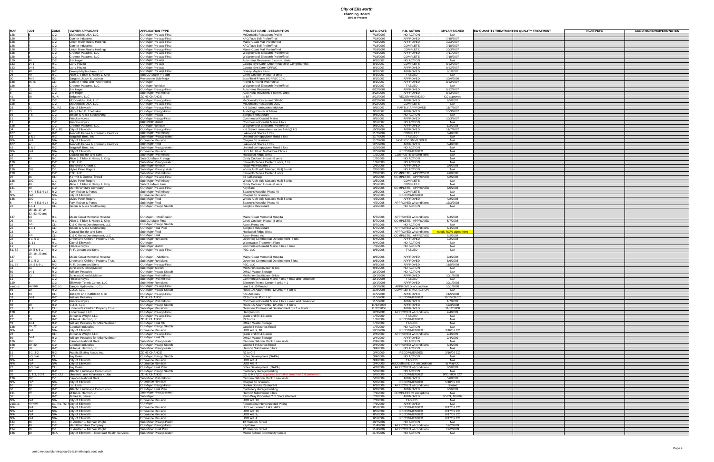| <b>MAP</b>        | <b>LOT</b>                        | <b>ZONE</b>                      | <b>OWNER-APPLICANT</b>                                              | <b>APPLICATION TYPE</b>                                     | <b>PROJECT NAME - DESCRIPTION</b>                                                           | <b>MTG. DATE</b>         | <b>P.B. ACTION</b>                                     | <b>MYLAR SIGNED</b>      | <b>SW QUANTITY TREATMENTSW QUALITY TREATMENT</b> | <b>PLAN PDFs</b> | <b>CONDITIONS/WAIVERS/NOTES</b> |
|-------------------|-----------------------------------|----------------------------------|---------------------------------------------------------------------|-------------------------------------------------------------|---------------------------------------------------------------------------------------------|--------------------------|--------------------------------------------------------|--------------------------|--------------------------------------------------|------------------|---------------------------------|
|                   |                                   |                                  | McDonald's USA, LLC                                                 | <b>CU-Major Pre-app-Final</b>                               | McDonald's Restaurant Prelim                                                                | 7/18/2007                | NO ACTION                                              | N/A                      |                                                  |                  |                                 |
|                   |                                   |                                  | Conifer Industries                                                  | <b>CU-Major Pre-app-Final</b>                               | <b>KFC/Taco Bell Prelim/final</b>                                                           | 7/18/2007                | APPROVED                                               | 7/18/2007                |                                                  |                  |                                 |
|                   |                                   |                                  | <b>Union River Realty Holdings</b><br>Conifer Industries            | <b>CU-Major Pre-app-Final</b><br>U-Major Pre-app-Final      | Maine Coast Mall Prelim/final<br><b>KFC/Taco Bell Prelim/final</b>                          | 7/18/2007<br>7/18/2007   | APPROVED<br><b>COMPLET</b>                             | 10/3/2007<br>7/18/2007   |                                                  |                  |                                 |
|                   |                                   |                                  | <b>Union River Realty Holdings</b>                                  | <b>CU-Major Pre-app-Final</b>                               | Maine Coast Mall Prelim/final                                                               | 7/18/2007                | <b>COMPLETE</b>                                        | 10/3/2007                |                                                  |                  |                                 |
|                   |                                   |                                  | <b>Greener Pastures, LLC</b>                                        | <b>CU-Major Pre-app-Final</b>                               | Walgreens of Ellsworth Prelim/final                                                         | 7/18/2007                | <b>APPROVED</b>                                        | 7/11/2007                |                                                  |                  |                                 |
|                   |                                   |                                  | <b>Greener Pastures, LLC</b><br>Jim Huger                           | <b>CU-Major Pre-app-Final</b><br><b>CU-Major Pre-app</b>    | Walgreens of Ellsworth Prelim/final<br>Auto Haus Revisions- 5 comm. Units                   | 7/18/2007<br>8/1/2007    | <b>COMPLETE</b><br>NO ACTION                           | 7/18/2007<br>N/A         |                                                  |                  |                                 |
|                   | $14 - 1$                          |                                  | arry Piazza                                                         | <b>CU-Major Pre-app</b>                                     | Coastal Eye Care- Determination of Completeness                                             | 8/1/2007                 | <b>COMPLETE</b>                                        | 8/22/2007                |                                                  |                  |                                 |
|                   | $14-1$                            |                                  | Larry Piazza                                                        | <b>CU-Major Pre-app</b>                                     | Coastal Eye Care - DFF&C                                                                    | 8/1/2007                 | APPROVED                                               | 8/22/2007                |                                                  |                  |                                 |
|                   |                                   |                                  | <b>Breezy Maples Farm, LLC</b>                                      | <b>CU-Major Pre-app-Final</b>                               | <b>Breezy Maples Farm</b>                                                                   | 8/1/2007                 | <b>APPROVED</b>                                        | 8/1/2007                 |                                                  |                  |                                 |
|                   | 48-9                              |                                  | Alice J. Tilden & Nancy J. King<br>Sargent, Jason & Lucinda         | Sub/CU-Major Pre-app<br>Revision to Sub-Major               | Cindy Cookson House- 8 units<br>Southfield-Phase II-DFF&C 10+1                              | 8/1/2007<br>8/1/2007     | <b>TABLED</b><br>APPROVED                              | N/A<br>10/4/2006         |                                                  |                  |                                 |
|                   | 56 57                             |                                  | Cooper Friend and Peter Friend                                      | CU-Major                                                    | Friend & Friend Prelim/final                                                                | 8/1/2007                 | APPROVED                                               | 8/22/2007                |                                                  |                  |                                 |
|                   |                                   |                                  | <b>Greener Pastures, LLC</b>                                        | <b>CU-Major Revision</b>                                    | <b>Walgreens of Ellsworth Prelim/final</b>                                                  | 8/1/2007                 | <b>TABLED</b>                                          | N/A                      |                                                  |                  |                                 |
|                   |                                   |                                  | <u>Jim Huger</u><br>Jim Huger                                       | CU-Major Pre-app-Final<br>Sub-Major Prelim/final            | <b>Auto Haus Revisions</b><br>Auto Haus Revisions 5 comm. Units                             | 8/22/2007<br>8/22/2007   | <b>APPROVED</b><br><b>APPROVED</b>                     | 8/22/2007<br>8/22/2007   |                                                  |                  |                                 |
|                   |                                   | R1-A                             | Brdgetwin, LLC                                                      | <b>ZONE CHANGE</b>                                          |                                                                                             | 8/22/2007                | <b>RECOMMNENDED</b>                                    | CC approved              |                                                  |                  |                                 |
|                   |                                   |                                  | McDonald's USA, LLC                                                 | <b>CU-Major Pre-app-Final</b>                               | McDonald's Restaurant DFF&C                                                                 | 8/22/2007                | APPROVED                                               | 9/5/2007                 |                                                  |                  |                                 |
|                   |                                   |                                  | McDonald's USA, LLC                                                 | <b>CU-Major Pre-app-Final</b>                               | McDonald's Restaurant DOC                                                                   | 8/22/2007                | <b>COMPLETE</b>                                        | N/A                      |                                                  |                  |                                 |
|                   |                                   | R <sub>1</sub> , R <sub>2</sub>  | City of Ellsworth<br>Mary Ellen B. Toothaker                        | CU-Major Pre-app-Final<br>CU-Major Preapp-Final             | K-8 School renovation/addition<br>Audiology Center of Maine                                 | 9/5/2007<br>9/5/2007     | PARTLY APPROVED<br>APPROVED                            | 11/7/2007<br>10/3/2007   |                                                  |                  |                                 |
|                   |                                   |                                  | Sisouk & Alicia Soutthivong                                         | <b>CU-Major Preapp</b>                                      | <b>Bangkok Restaurant</b>                                                                   | 9/5/2007                 | NO ACTION                                              | N/A                      |                                                  |                  |                                 |
|                   |                                   |                                  | <sup>P</sup> riscilla Noyes                                         | <b>CU-Major Preapp-Final</b>                                | <b>Commercial Coastal Maine</b>                                                             | 9/5/2007                 | APPROVED                                               | 10/3/2007                |                                                  |                  |                                 |
|                   |                                   |                                  | Priscilla Noyes<br><b>Sreener Pastures, LLC</b>                     | Sub-Minor sketch<br><b>U-Major Revision</b>                 | <b>Commercial Coastal Maine 4 lots</b><br><b>Nalgreens of Ellsworth Prelim/final</b>        | 9/5/2007<br>9/5/2007     | <b>NO ACTION</b><br>APPROVED                           | N/A<br>1/2/2008          |                                                  |                  |                                 |
|                   |                                   | R <sub>1a</sub> , R <sub>2</sub> | City of Ellsworth                                                   | <b>CU-Major Pre-app-Final</b>                               | K-8 School renovation- soccer field @ HS                                                    | 10/3/2007                | APPROVED                                               | 11/7/2007                |                                                  |                  |                                 |
|                   |                                   |                                  | Kenneth Farkas & Frederick Kendrick                                 | Sub-Major Preliminary                                       | akewood Shores 7 lots                                                                       | 11/7/2007                | <b>COMPLETE</b>                                        | 6/4/2008                 |                                                  |                  |                                 |
|                   | N/A                               | IN/A                             | <b>Nagstaff Bros. Inc.</b>                                          | Sub-Major Preapp-sketch<br><b>Ordinance Revision</b>        | <b>Jntitled on Happytown Road 8 lots</b><br>Chapter 55 revisions                            | 11/7/2007<br>11/7/2007   | <b>TABLED</b><br>NOT RECOMMENDED                       | N/A<br>N/A               |                                                  |                  |                                 |
|                   |                                   |                                  | City of Ellsworth<br>Kenneth Farkas & Frederick Kendrick            | Sub-Major Final                                             | Lakewood Shores 7 lots                                                                      | 12/5/2007                | <b>APPROVED</b>                                        | 6/4/2008                 |                                                  |                  |                                 |
|                   | 5 & 6                             |                                  | Wagstaff Bros. Inc.                                                 | Sub-Major Preapp-sketch                                     | <b>Jntitled on Happytown Road 8 lots</b>                                                    | 12/5/2007                | NO ACTION                                              | N/A                      |                                                  |                  |                                 |
|                   | IN/A                              |                                  | City of Ellsworth                                                   | <b>Ordinance Revision</b>                                   | LUO Art. IV re: Methadone Clinics                                                           | 12/5/2007                | RECOMMENDED                                            | N/A                      |                                                  |                  |                                 |
|                   |                                   |                                  | Coastal Builder and Sons<br>Alice J. Tilden & Nancy J. King         | Sub-Major Preliminary                                       | Hardwood Ridge 8 lots<br>Cindy Cookson House- 8 units                                       | 1/2/2008<br>1/2/2008     | <b>COMPLETE w/ conditions</b><br>NO ACTION             | N/A<br>N/A               |                                                  |                  |                                 |
|                   |                                   |                                  | ETC, LLC                                                            | Sub/CU-Major Pre-app<br>Sub-Minor Preapp-sketch             | Ellsworth Tennis Center 3 units, 1 lot                                                      | 1/2/2008                 | NO ACTION                                              | N/A                      |                                                  |                  |                                 |
|                   |                                   |                                  | <b>Blanchard, Chadd E</b>                                           | Sub-Major-revision                                          | <b>Ridge View Estates 9</b>                                                                 | 2/6/2008                 | APPROVED                                               | 2/6/2008                 |                                                  |                  |                                 |
|                   |                                   |                                  | <b>Myles Peter Rogers</b>                                           | Sub-Major Pre-app sketch<br>Sub-Minor Prelim/Final          | Winds Aloft (old Masonic Hall) 8 units                                                      | 2/6/2008                 | NO ACTION                                              | N/A                      |                                                  |                  |                                 |
|                   |                                   |                                  | ETC, LLC<br>Kermit & Donna Theall                                   | <b>CU-Major Pre-app-Final</b>                               | <b>Ellsworth Tennis Center 4 units</b><br><b>EZ</b> self-storage                            | 2/6/2008<br>3/5/2008     | COMPLETE, APPROVED<br>COMPLETE, APPROVED               | 2/6/2008<br>4/2/2008     |                                                  |                  |                                 |
|                   |                                   |                                  | Myles Peter Rogers                                                  | Sub-Major Preliminary                                       | Winds Aloft (old Masonic Hall) 8 units                                                      | 3/5/2008                 | <b>COMPLETE</b>                                        | N/A                      |                                                  |                  |                                 |
|                   |                                   |                                  | Alice J. Tilden & Nancy J. King                                     | Sub/CU-Major Final                                          | Cindy Cookson House- 8 units                                                                | 3/5/2008                 | <b>COMPLETE</b>                                        | N/A                      |                                                  |                  |                                 |
|                   |                                   |                                  | Merrill Furniture Company                                           | <b>CU-Major Pre-app-Final</b>                               | Kev Bank                                                                                    | 3/5/2008                 | COMPLETE, APPROVED                                     | 3/5/2008                 |                                                  |                  |                                 |
|                   | $4-4$ , 4-5 & 4-14 R              |                                  | Ray, Robert & Persis<br>City of Ellsworth                           | Sub-Major Preliminary<br>Ordinance Revision                 | Seavey's Woodlot Phase VI<br>Chapter 55 revisions                                           | 3/5/2008<br>3/5/2008     | <b>COMPLETE</b><br>RECOMMENDED                         | N/A<br>N/A               |                                                  |                  |                                 |
|                   |                                   |                                  | Myles Peter Rogers                                                  | Sub-Major Final<br>Sub-Major Final                          | Winds Aloft (old Masonic Hall) 8 units                                                      | 4/2/2008                 | APPROVED                                               | 4/2/2008                 |                                                  |                  |                                 |
|                   | $4-4$ , 4-5 & 4-14 R-             |                                  | Ray, Robert & Persis                                                |                                                             | Seavey's Woodlot Phase VI                                                                   | 4/2/2008                 | APPROVED w/ conditions                                 | 12/3/2008                |                                                  |                  |                                 |
|                   | 5-1-1                             |                                  | Sisouk & Alicia Soutthivong                                         | <b>CU-Major Preapp Sketch</b>                               | <b>Bangkok Restaurant</b>                                                                   | 4/2/2008                 | NO ACTION                                              | N/A                      |                                                  |                  |                                 |
|                   | 15, 16, 17, 24,<br>82, 83, 92 and |                                  |                                                                     |                                                             |                                                                                             |                          |                                                        |                          |                                                  |                  |                                 |
|                   |                                   |                                  | Maine Coast Memorial Hospital                                       | CU-Major-- Modification                                     | Maine Coast Memorial Hospita                                                                | 5/7/2008                 | APPROVED w/ conditions                                 | 6/4/2008                 |                                                  |                  |                                 |
|                   |                                   |                                  | Alice J. Tilden & Nancy J. King                                     | Sub/CU-Major Final                                          | Cindy Cookson House- 8 units                                                                | 5/7/2008                 | COMPLETE, APPROVED                                     | 5/7/2008                 |                                                  |                  |                                 |
|                   |                                   |                                  | C & C Rents Development, LLC<br>Sisouk & Alicia Soutthivong         | <b>CU-Major Preapp Sketch</b><br><b>CU-Major Final Plan</b> | Aaron Rents Inc.<br>Bangkok Restaurant                                                      | 5/7/2008<br>5/7/2008     | NO ACTION<br>APPROVED w/ conditions                    | N/A<br>6/4/2008          |                                                  |                  |                                 |
|                   |                                   |                                  | Coastal Builder and Sons                                            | Sub-Major Final                                             | Hardwood Ridge 8 lots                                                                       | 6/4/2008                 | APPROVED w/ conditions                                 | needs ROW agreement      |                                                  |                  |                                 |
|                   |                                   |                                  | C & C Rents Development, LLC                                        | <b>CU-Major Final</b>                                       | Aaron Rents Inc.                                                                            | 6/4/2008                 | COMPLETE, APPROVED                                     | 7/2/2008                 |                                                  |                  |                                 |
|                   | $5-1, 5-3$<br>9.11                |                                  | Linnehan's Children Property Trust<br>City of Ellsworth             | <b>Sub-Major Revisions</b>                                  | Overview Commercial Development 8 lots<br>Wastewater Treatment Plant                        | 6/4/2008<br>6/4/2008     | APPROVED<br>NO ACTION                                  | 7/2/2008<br>N/A          |                                                  |                  |                                 |
|                   |                                   |                                  | <sup>2</sup> riscilla Noyes                                         | CU-Major<br>Sub-Major sketch                                | Commercial Coastal Maine 4 lots + road                                                      | 7/2/2008                 | NO ACTION                                              | N/A                      |                                                  |                  |                                 |
| 51, 52            | 10, 5 & 6-1                       |                                  | R. F. Jordan and Sons                                               | <b>CU-Major Pre-app-Final</b>                               | PJC, LLC                                                                                    | 8/6/2008                 | <b>TABLED</b>                                          | N/A                      |                                                  |                  |                                 |
|                   | 15, 16, 23 and                    |                                  |                                                                     |                                                             |                                                                                             |                          | APPROVED                                               | 9/3/2008                 |                                                  |                  |                                 |
|                   | $5-1.5-3$                         |                                  | Maine Coast Memorial Hospital<br>Linnehan's Children Property Trust | CU-Major-- Additions<br>Sub-Major Revisions                 | Maine Coast Memorial Hospital<br>Overview Commercial Development 8 lots                     | 8/6/2008<br>8/6/2008     | <b>APPROVED</b>                                        | 8/6/2008                 |                                                  |                  |                                 |
|                   | 10, 5 & 6-1                       |                                  | F. Jordan and Sons                                                  | <b>CU-Major Pre-app-Final</b>                               | <b>JC, LLC</b>                                                                              | 9/3/2008                 | <b>APPROVED</b>                                        | 11/5/2008                |                                                  |                  |                                 |
|                   |                                   |                                  | Jane and Glen McMahon                                               | Sub-Major Sketch                                            | McMahon Subdivision 5-lots                                                                  | 9/3/2008                 | NO ACTION                                              | N/A                      |                                                  |                  |                                 |
|                   | 14-1                              |                                  | <b>Nilliam Peaseley</b><br>Jane and Glen McMahon                    | <b>CU-Major Preapp Sketch</b><br>Sub-Major Prelim/Final     | DM&J Waste Storage<br>McMahon Subdivision 5-lots                                            | 10/1/2008<br>10/1/2008   | NO ACTION<br>APPROVED                                  | N/A<br>10/1/2008         |                                                  |                  |                                 |
|                   |                                   |                                  | Priscilla Noves                                                     | Sub-Major Prelim/Final                                      | Commercial Coastal Maine 4 lots + road and remainder                                        | 10/1/2008                | TABLED                                                 | N/A                      |                                                  |                  |                                 |
|                   |                                   |                                  | <b>Ellsworth Tennis Center, LLC</b>                                 | Sub-Minor Revisions                                         | Ellsworth Tennis Center 4 units + 1                                                         | 10/1/2008                | APPROVED                                               | 10/1/2008                |                                                  |                  |                                 |
| various           | various                           | $R-2, I-1$                       | Bangor Hydro-electric Co.<br>C.J.D., LLC                            | <b>CU-Major Pre-app-Final</b><br>CU-Major Preapp Sketch     | Line 1 & 10 Project<br>Route 1A Apartments- 12 Units + 4 Units                              | 10/1/2008                | APPROVED w/ condition<br>11/5/2008 COMPLETE, NO ACTION | 10/1/2008<br>N/A         |                                                  |                  |                                 |
|                   |                                   |                                  | Joseph and Kathleen Gile                                            | <b>CU-Major Pre-app-Final</b>                               | <b>Kits Antiques</b>                                                                        | 11/5/2008                | APPROVED                                               | 11/5/2008                |                                                  |                  |                                 |
|                   | $14-1$                            |                                  | William Peaseley                                                    | <b>ZONE CHANGE</b>                                          | R <sub>2</sub> to I <sub>1</sub> - re: PJC, LLC                                             | 11/5/2008                | RECOMMENDED                                            | 12/15/08 CC              |                                                  |                  |                                 |
|                   |                                   |                                  | Priscilla Noyes                                                     | Sub-Major Prelim/Final                                      | Commercial Coastal Maine 4 lots + road and remainder                                        | 11/5/2008                | <b>APPROVED</b><br>APPROVED                            | 1/7/2009                 |                                                  |                  |                                 |
|                   |                                   |                                  | C.J.D., LLC<br>innehan's Children Property Trust                    | <b>CU-Major Preapp Sketch</b><br><b>Sub-Major Revisions</b> | Route 1A Apartments- 12 Units + 4 Units<br>Overview Commercial Development $8 + 1 = 9$ lots | 11/12/2008<br>11/12/2008 | APPROVED                                               | 12/3/2008<br>11/12/2008  |                                                  |                  |                                 |
|                   |                                   |                                  | Local Yokel, LLC                                                    | <b>CU-Major Pre-app-Final</b>                               | Hampton Inn                                                                                 | 12/3/2008                | APPROVED w/ conditions                                 | 2/4/2009                 |                                                  |                  |                                 |
|                   |                                   |                                  | Jordan & Wright, LLC<br>Milton A. Harmon, Jr.                       | <b>CU-Major Pre-app-Final</b><br><b>ZONE CHANGE</b>         | grade and fill 4.3 acres<br>R <sub>2</sub> to C <sub>-2</sub>                               | 1/7/2009<br>1/7/2009     | <b>TABLED</b><br><b>RECOMMENDED</b>                    | N/A<br>N/A               |                                                  |                  |                                 |
|                   |                                   |                                  | William Peaseley for Mike Wellman                                   | <b>CU-Major Final CU</b>                                    | DM&J Waste Storage                                                                          | 1/7/2009                 | <b>TABLED</b>                                          | N/A                      |                                                  |                  |                                 |
|                   |                                   |                                  | Goodwill Industries                                                 | <b>CU-Major Preapp Sketch</b>                               | Goodwill Industries Retail                                                                  | 1/7/2009                 | NO ACTION                                              | N/A                      |                                                  |                  |                                 |
|                   |                                   |                                  | City of Ellsworth                                                   | Ordinance Revision                                          | JDO Art. 9, 10                                                                              | 1/21/2009                | RECOMMENDED                                            | 3/16/09 CC               |                                                  |                  |                                 |
|                   |                                   |                                  | Jordan & Wright, LLC<br>Villiam Peaseley for Mike Wellman           | CU-Major Pre-app-Final<br>CU-Major Final CU                 | grade and fill 4.3 acres<br>DM&J Waste Storage                                              | 2/4/2009<br>2/4/2009     | APPROVED w/ conditions<br>APPROVED                     | 2/4/2009<br>2/4/2009     |                                                  |                  |                                 |
|                   |                                   |                                  | Camden National Bank                                                | Sub-Minor Preapp-sketch                                     | Camden National Bank 3 new units                                                            | 2/4/2009                 | NO ACTION                                              | N/A                      |                                                  |                  |                                 |
|                   |                                   |                                  | <b>Goodwill Industries</b>                                          | <b>CU-Major Preapp Sketch</b>                               | Goodwill Industries Retail                                                                  | 2/4/2009                 | APPROVED w/ conditions                                 | 3/4/2009                 |                                                  |                  |                                 |
|                   | $3-1, 3-2$                        |                                  | Milton A. Harmon, Jr.<br>Acadia Skating Assoc. Inc                  | Sub-Minor Preapp-sketch<br><b>ZONE CHANGE</b>               | Harmon Subdivision 3 lots                                                                   | 3/4/2009                 | NO ACTION<br><b>RECOMMENDED</b>                        | N/A                      |                                                  |                  |                                 |
|                   | $5-3, 5-4$                        |                                  | ay Boles                                                            | <b>CU-Major Preapp Sketch</b>                               | R <sub>2</sub> to C-2<br><b>Boles Development [NAPA]</b>                                    | 3/4/2009<br>3/4/2009     | NO ACTION                                              | 3/16/09 CC<br>N/A        |                                                  |                  |                                 |
|                   | IN/A                              |                                  | City of Ellsworth                                                   | <b>Ordinance Revision</b>                                   | UDO Art. 4                                                                                  | 3/4/2009                 | <b>TABLED</b>                                          | N/A                      |                                                  |                  |                                 |
|                   | NI/A                              |                                  | City of Ellsworth                                                   | Ordinance Revision<br><b>CU-Major Final Plan</b>            | UDO Art. 4                                                                                  | 3/4/2009                 | <b>ECOMMENDED</b> w/condition                          | to May CC                |                                                  |                  |                                 |
|                   | $5-3, 5-4$                        |                                  | Fay Boles<br><b>Atlantic Landscape Construction</b>                 | <b>CU-Major Preapp Sketch</b>                               | Boles Development [NAPA]<br>machinery storage building                                      | 4/1/2009<br>5/6/2009     | APPROVED w/ conditions<br>NO ACTION                    | 8/5/2009<br>N/A          |                                                  |                  |                                 |
|                   | $, 1-3, 1-2-1$                    | $R-2$ , CLI                      | Steven E. and Athanasia K. Joy                                      | <b>ZONE CHANGE</b>                                          | CLI to R2 *[CC approved a smaller area than 1st presented                                   | 5/6/2009                 | RECOMMENDED                                            | 9/21/2009 CC*            |                                                  |                  |                                 |
|                   |                                   |                                  | Camden National Bank                                                | Sub-Minor Prelim/Final                                      | Camden National Bank 3 new units                                                            | 5/6/2009                 | APPROVED                                               | 5/6/2009                 |                                                  |                  |                                 |
|                   |                                   |                                  | City of Ellsworth<br>Lou Lima                                       | Ordinance Revision<br><b>CU-Major Preapp-Final</b>          | Chapter 55 revisions<br>Dunkin Donuts Restaurant                                            | 5/6/2009<br>6/3/2009     | RECOMMENDED<br>APPROVED w/ conditions                  | 5/18/09 CC<br>revised    |                                                  |                  |                                 |
|                   |                                   |                                  | <b>Atlantic Landscape Construction</b>                              | <b>CU-Major Final Plan</b>                                  | machinery storage building                                                                  | 6/3/2009                 | APPROVED                                               | 8/5/2009                 |                                                  |                  |                                 |
|                   |                                   |                                  | Milton A. Harmon, Jr.                                               | Sub-Major Preapp-sketch                                     | Harmon Subdivision 3 lots                                                                   | 7/1/2009                 | <b>COMPLETE w/ exceptions</b>                          | N/A                      |                                                  |                  |                                 |
| N/A               |                                   |                                  | James A, Sarosi<br>City of Ellsworth                                | Sub-Major<br>Ordinance Revision                             | Penn Way Properties 2 of 3 lots affected<br>UDO Art. 10                                     | 7/1/2009<br>7/1/2009     | APPROVED<br><b>TABLED</b>                              | 8/5/09, 10/7/09<br>N/A   |                                                  |                  |                                 |
| various           | various                           |                                  | C1, R1, R2, City of Ellsworth                                       | CU-Major                                                    | Forcemains/Interconnected Piping                                                            | 7/1/2009                 | APPROVED                                               | N/A                      |                                                  |                  |                                 |
|                   | N/A                               |                                  | City of Ellsworth                                                   | Ordinance Revision                                          | LUO re: Leonard Lake, def's                                                                 | 8/5/2009                 | RECOMMENDED                                            | 8/17/09 CC               |                                                  |                  |                                 |
|                   | IN/A                              |                                  | City of Ellsworth<br>City of Ellsworth                              | Ordinance Revision<br>Ordinance Revision                    | JDO Art. 10                                                                                 | 8/5/2009<br>8/5/2009     | RECOMMENDED<br>RECOMMENDED                             | 8/17/09 CC<br>8/17/09 CC |                                                  |                  |                                 |
| N/A l             |                                   |                                  | City of Ellsworth                                                   | Ordinance Revision                                          | UDO Art. 9,<br>JDO Art. 4                                                                   | 8/5/2009                 | RECOMMENDED                                            | 8/17/09 CC               |                                                  |                  |                                 |
|                   |                                   |                                  | ID. Arntzen -- Michael Wight                                        | Sub-Minor Preapp-Prelim.                                    | 12 Hancock Street                                                                           | 10/7/2009                | NO ACTION                                              | N/A                      |                                                  |                  |                                 |
| $\frac{134}{131}$ |                                   |                                  | Merrill Furniture Company<br>D. Arntzen -- Michael Wight            | CU-Major Pre-app-Final<br>Sub-Minor Final Plan              | <b>Key Bank</b>                                                                             | 11/4/2009                | APPROVED w/ conditions                                 | 12/2/2009                |                                                  |                  |                                 |
|                   |                                   | R <sub>1</sub> A                 | City of Ellsworth -- Downeast Health Services                       | Sub-Minor Preapp-sketch                                     | 12 Hancock Street<br>Moore School Community Center                                          | 11/4/2009<br>11/4/2009   | APPROVED w/ conditions<br>NO ACTION                    | 12/2/2009<br>N/A         |                                                  |                  |                                 |
|                   |                                   |                                  |                                                                     |                                                             |                                                                                             |                          |                                                        |                          |                                                  |                  |                                 |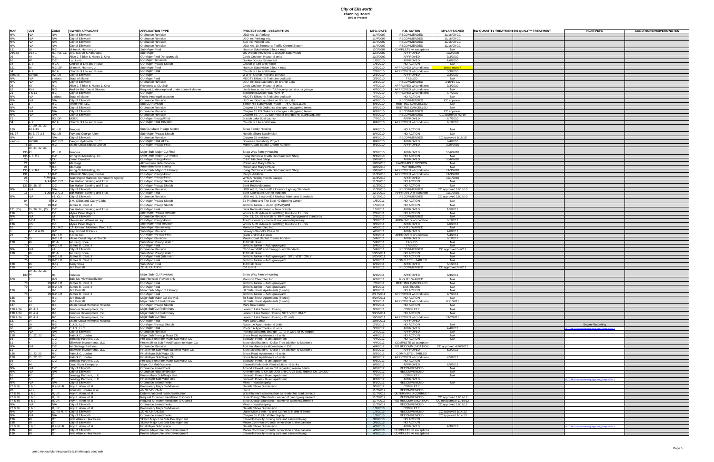| MAP<br>N/A         | <b>LOT</b>                 | <b>ZONE</b>            | OWNER-APPLICANT                                                   | <b>APPLICATION TYPE</b>                                                       | <b>PROJECT NAME - DESCRIPTION</b>                                                                               | <b>MTG. DATE</b>       | <b>P.B. ACTION</b>                                             | <b>MYLAR SIGNED</b>               | <b>SW QUANTITY TREATMENTSW QUALITY TREATMENT</b> | <b>PLAN PDFs</b>                             | <b>CONDITIONS/WAIVERS/NOTES</b> |
|--------------------|----------------------------|------------------------|-------------------------------------------------------------------|-------------------------------------------------------------------------------|-----------------------------------------------------------------------------------------------------------------|------------------------|----------------------------------------------------------------|-----------------------------------|--------------------------------------------------|----------------------------------------------|---------------------------------|
|                    | N/A                        |                        | City of Ellsworth                                                 | <b>Ordinance Revision</b>                                                     | UDO Art. 11 Parking                                                                                             | 11/4/2009              | RECOMMENDED                                                    | 11/16/09 CC                       |                                                  |                                              |                                 |
| N/A<br>N/A         | N/A<br>N/A                 |                        | <b>City of Ellsworth</b><br>City of Ellsworth                     | <b>Ordinance Revision</b><br><b>Ordinance Revision</b>                        | LUO re: Parking, etc.<br>Sub re: Parking, etc.                                                                  | 11/4/2009<br>11/4/2009 | RECOMMENDED<br>RECOMMENDED                                     | 11/16/09 CC<br>11/16/09 CC        |                                                  |                                              |                                 |
| N/A                | IN/A                       |                        | City of Ellsworth                                                 | <b>Ordinance Revision</b>                                                     | UDO Art. 10 Streets re: Traffic Control System                                                                  | 11/4/2009              | <b>RECOMMENDED</b>                                             | 11/16/09 CC                       |                                                  |                                              |                                 |
| 26/133             | $1/14-1$                   |                        | Milton A. Harmon, Jr<br>R1, R2, CLI Joy, Steven & Athanasia       | Sub-Major Final<br>Sub-Major                                                  | Harmon Subdivision 3 lots + road<br>Joy Woods-Revisions to a Major Subdivision                                  | 12/2/2009<br>12/2/2009 | <b>COMPLETE</b> w/ exceptions<br>APPROVED                      | N/A<br>12/2/2009                  |                                                  |                                              |                                 |
|                    |                            |                        | Alice J. Tilden & Nancy J. King                                   | CU-Major Final (re-approval)                                                  | Cindy Cookson House- 8 units                                                                                    | 12/2/2009              | APPROVED                                                       | 3/3/2010                          |                                                  |                                              |                                 |
|                    |                            |                        | Lou Lima                                                          | <b>CU-Major Revisions</b>                                                     | Dunkin Donuts Restaurant                                                                                        | 1/6/2010               | APPROVED                                                       | 1/6/2010                          |                                                  |                                              |                                 |
|                    | 12.3                       | $R-1A$<br>$R-2$ , $SP$ | Church of Life and Praise<br>Milton A. Harmon, Jr.                | <b>CU-Major Preapp Sketch</b>                                                 | Church of Life and Praise<br>Harmon Subdivision 3 lots + road                                                   | 1/6/2010<br>2/3/2010   | NO ACTION<br>APPROVED w/ conditions                            | N/A<br>street name?               |                                                  |                                              |                                 |
|                    | 2, 3                       | R-1A                   | Church of Life and Praise                                         | Sub-Major Final                                                               | Church of Life and Praise                                                                                       | 2/3/2010               | APPROVED w/ conditions                                         | 3/3/2010                          |                                                  |                                              |                                 |
| various            | various                    | R2, LR                 | City of Ellsworth                                                 | CU-Major                                                                      | <b>WWTP Outfall Pipe and Diffuser</b>                                                                           | 2/3/2010               | APPROVED<br><b>TABLED</b>                                      | 2/3/2010                          |                                                  |                                              |                                 |
|                    | IN/A<br>IN/A               | various                | <b>State of Maine</b><br>City of Ellsworth                        | <b>CU-Major Final</b><br><b>Ordinance Revision</b>                            | MDOT's Ellsworth Trail bike-ped path<br>LUO re: Boat Launches on Branch Lake                                    | 3/3/2010<br>3/3/2010   | RECOMMENDED                                                    | N/A<br>3/15/10 CC                 |                                                  |                                              |                                 |
|                    |                            |                        | Alice J. Tilden & Nancy J. King                                   | Revisions to CU-Sub                                                           | Cindy Cookson House- 8 units                                                                                    | 4/7/2010               | APPROVED w/ conditions                                         | 3/3/2010                          |                                                  |                                              |                                 |
|                    | 40-2<br>9 & 11             |                        | <b>Andrew Britt-David Skaves</b><br>City of Ellsworth             | Request to develop land under consent decree<br>CU-Major                      | divide two acres from 7.92-acre tp construct a garage<br>Ellsworth Bayside Road WWTP                            | 4/7/2010<br>4/7/2010   | APPROVED w/ conditions<br>APPROVED w/ conditions               | N/A<br>7/7/2010                   |                                                  |                                              |                                 |
|                    | N/A                        | various                | <b>State of Maine</b>                                             | Public Hearing/discussion                                                     | MDOT's Ellsworth Trail bike-ped path                                                                            | 4/7/2010               | NO ACTION                                                      | N/A                               |                                                  |                                              |                                 |
| N/A                | N/A                        |                        | City of Ellsworth<br>Tinker Hill, LLC                             | <b>Ordinance Revision</b><br>Sub/CU-Revision                                  | LUO re: Boat Launches on Branch Lake<br>Tinker Hill Subdivision Phase II- 78-Units/11 Lots                      | 4/7/2010               | RECOMMENDED<br><b>MEETING CANCELLED</b>                        | CC approved                       |                                                  |                                              |                                 |
| N/A                | IN/A                       |                        | City of Ellsworth                                                 | <b>Ordinance Revision</b>                                                     | Chapter 18 PB Ordiiance changes - staggering terms                                                              | 5/5/2010<br>5/5/2010   | MEETING CANCELLED                                              | N/A<br>N/A                        |                                                  |                                              |                                 |
| N/A                | IN/A                       |                        | <b>City of Ellsworth</b>                                          | <b>Ordinance Revision</b>                                                     | Chapter 18 PB Ordiiance changes - staggering terms                                                              | 6/2/2010               | RECOMMENDED                                                    | CC approved                       |                                                  |                                              |                                 |
|                    |                            | R3, DP                 | City of Ellsworth<br><b>MDOC</b>                                  | <b>Ordinance Revision</b><br><b>CU-Major Preapp/Final</b>                     | Chapter 56, Art. 10 Stormwater changes re: quantity/quality<br><b>Branch Lake Boat Launch</b>                   | 6/2/2010<br>7/7/2010   | RECOMMENDED<br>APPROVED                                        | CC approved 7/2/10<br>7/7/2010    |                                                  |                                              |                                 |
|                    |                            | २-1A                   | Church of Life and Praise                                         | <b>CU-Major Final-Revision</b>                                                | Church of Life and Praise                                                                                       | 8/4/2010               | APPROVED w/ conditions                                         | 9/1/2010                          |                                                  |                                              |                                 |
|                    | 27, 29, 31, 32,<br>33 & 34 | R <sub>1</sub> , LR    | Penquis                                                           | Sub/CU-Major Preapp Sketch                                                    | <b>Straw Family Housing</b>                                                                                     | 8/4/2010               | NO ACTION                                                      | N/A                               |                                                  |                                              |                                 |
| 86, 77             | 86-3, 77-3,5               | R2, LR                 | Roy and George Allen                                              | Sub-Major Preapp Sketch                                                       | <b>Nevells Shore Subdivision</b>                                                                                | 8/4/2010               | NO ACTION                                                      | N/A                               |                                                  |                                              |                                 |
|                    | IN/A                       |                        | City of Ellsworth                                                 | Ordinance Revision                                                            | Chapter 55 revisions                                                                                            | 8/4/2010               | RECOMMENDED                                                    | CC approved 8/16/10               |                                                  |                                              |                                 |
| various            | various                    | $R-2, C-2$             | Bangor Hydro-electric Co.                                         | <b>CU-Major Final DFFC</b>                                                    | <b>Downeast Reliability Project</b>                                                                             | 8/4/2010               | APPROVED                                                       | 8/4/2010                          |                                                  |                                              |                                 |
|                    | [29, 31, 32, 33,           |                        | Maine Coast Baptist Church                                        | <b>CU-Major Preapp-Final</b>                                                  | Maine Coast Baptist Church Addition                                                                             | 9/1/2010               | APPROVED                                                       | 10/6/2010                         |                                                  |                                              |                                 |
|                    |                            | :1, LR                 | <b>Penquis</b>                                                    | Major Sub, Major CU Final                                                     | Straw Way Family Housing                                                                                        | 9/1/2010               | APPROVED                                                       | 10/6/2010                         |                                                  |                                              |                                 |
|                    | $135\,6, 7, 8-1$           |                        | Irving Oil Marketing, Inc.<br><b>Glenn Crawford</b>               | Minor Sub, Major CU Preapp<br><b>CU-Major Preapp-Final</b>                    | Irving Oil/Circle K with Deli/Sandwich Shop<br>C & C Machine Shop                                               | 9/1/2010<br>10/6/2010  | NO ACTION<br>APPROVED                                          | N/A<br>10/6/2010                  |                                                  |                                              |                                 |
|                    |                            |                        | Ida Page                                                          | Allowed use determination                                                     | Robert and Mary's Place                                                                                         | 10/6/2010              | <b>FAVORABLE OPINION</b>                                       | N/A                               |                                                  |                                              |                                 |
|                    |                            |                        | Ida Page                                                          | Amendments to Zoning                                                          | Robert and Mary's Place                                                                                         | 10/6/2010              | <b>WITHDRAWN</b>                                               | N/A                               |                                                  |                                              |                                 |
|                    | $135$ 6, 7, 8-1            | $17$ R-2               | Irving Oil Marketing, Inc.<br><b>Ellsworth Shopping Center</b>    | Minor Sub, Major CU Preapp<br><b>CU-Major Preapp-Final</b>                    | Irving Oil/Circle K with Deli/Sandwich Shop<br>Reny's Addition                                                  | 10/6/2010<br>11/3/2010 | APPROVED w/ conditions<br>APPROVED w/ conditions               | 11/3/2010<br>11/3/2010            |                                                  |                                              |                                 |
|                    | 4-Jan CLI                  |                        | <b>Washington Hancock Community Agency</b>                        | CU-Major Preapp-Final                                                         | <b>WHCA Helping Hands Garage</b>                                                                                | 11/3/2010              | APPROVED                                                       | 12/1/2010                         |                                                  |                                              |                                 |
|                    |                            | 1-Jul R-2, C-2         | Bar Harbor Banking and Trust                                      | <b>CU-Major Preapp Sketch</b><br><b>CU-Major Preapp Sketch</b>                | <b>Bank Addition</b><br><b>Bank Redevelopment</b>                                                               | 11/3/2010              | NO ACTION<br>NO ACTION                                         | N/A<br>N/A                        |                                                  |                                              |                                 |
| N/A                | 131 35, 36, 37<br>IN/A     |                        | Bar Harbor Banking and Trust<br>City of Ellsworth                 | <b>Ordinance Revision</b>                                                     | UDO Art. 8, Section 812 Exterior Lighting Standards                                                             | 11/3/2010<br>11/3/2010 | RECOMMENDED                                                    | CC approved 12/13/10              |                                                  |                                              |                                 |
|                    |                            | 1-Jul R-2, C-2         | Bar Harbor Banking and Trust                                      | <b>CU-Major Final</b>                                                         | <b>Bank Operations Center Addition</b>                                                                          | 12/1/2010              | <b>APPROVED w/ condition</b>                                   | 12/1/2010                         |                                                  |                                              |                                 |
|                    |                            | I-1, CLI               | City of Ellsworth                                                 | Ordinance Revision                                                            | UDO Art. 8, Section 817 Medical Marijuana Standards                                                             | 12/1/2010              | RECOMMENDED                                                    | CC approved 12/13/10              |                                                  |                                              |                                 |
|                    |                            | $5R-2$<br>$29$ R-2     | J.M. Gibbs and Cathy Gibbs<br>James B. Card, II                   | <b>CU-Major Preapp Sketch</b><br><b>CU-Major Preapp Sketch</b>                | J's Pit Stop and The Back 40 Sporting Center<br>Jimbo's Junkin -- Auto graveyard                                | 1/5/2011<br>1/5/2011   | NO ACTION<br>NO ACTION                                         | N/A<br>N/A                        |                                                  |                                              |                                 |
| 131(35)            | $35, 36, 37, (2)$ C-2      |                        | Bar Harbor Banking and Trust                                      | <b>CU-Major Final</b>                                                         | Bank Redevelopment -- New Branch                                                                                | 1/5/2011               | APPROVED                                                       | 1/5/2011                          |                                                  |                                              |                                 |
|                    |                            |                        | <b>Myles Peter Rogers</b>                                         | Sub-Major Preapp Revision                                                     | Winds Aloft (Maine Grind Bldg) 8 units to 11 units                                                              | 2/3/2011               | NO ACTION                                                      | N/A                               |                                                  |                                              |                                 |
|                    | IN/A<br>$1 - 2 - 1$        |                        | City of Ellsworth<br>Steven and Athanasia Joy                     | <b>Ordinance Revision</b><br><b>CU-Major Preapp-Final</b>                     | Ch's 21, 19, 28 and 56 re: MHP and Campground Standards<br>The Dispensary - medical marijuana dispensary        | 2/3/2011<br>3/2/2011   | RECOMMENDED<br>APPROVED w/ condition                           | N/A<br>6/1/2011                   |                                                  |                                              |                                 |
|                    | 202                        |                        | <b>Myles Peter Rogers</b>                                         | Sub-Major Final Revision                                                      | Winds Aloft (Maine Grind Bldg) 8 units to 11 units                                                              | 3/2/2011               | APPROVED                                                       | 4/6/2011                          |                                                  |                                              |                                 |
|                    | 4-18 & 4-19                | <b>CLI. R-2</b>        | CA Johnson Morrison, Prop. LLC<br>Ray, Robert & Persis            | Sub-Major Review only<br><b>Sub-Major Revision</b>                            | Morrison Chevrolet, Inc.<br>Seavey's Woodlot Phase VI                                                           | 4/6/2011<br>4/6/2011   | <b>RIGHTS WAIVED</b><br>APPROVED                               | N/A<br>4/6/2011                   |                                                  |                                              |                                 |
|                    |                            | CLI. LR                | E-Con, Inc.                                                       | <b>CU-Major Pre-app-Final</b>                                                 | grade and fill 4.9 acres                                                                                        | 5/4/2011               | APPROVED w/ condition                                          | 5/4/2011                          |                                                  |                                              |                                 |
|                    |                            | R-2, LR                | Maine Coast Baptist Church                                        | <b>CU-Major Revisions</b>                                                     | Maine Coast Baptist Church Addition                                                                             | 5/4/2011               | APPROVED                                                       | 6/1/2011                          |                                                  |                                              |                                 |
|                    |                            | 29 R-2, LR             | for Kerry Shea<br>James B. Card, II                               | Sub-Minor Preapp sketch                                                       | 110 Oak Street<br>Jimbo's Junkin -- Auto graveyard                                                              | 5/4/2011<br>5/4/2011   | <b>TABLED</b><br><b>TABLED</b>                                 | N/A<br>N/A                        |                                                  |                                              |                                 |
|                    |                            |                        | City of Ellsworth                                                 | CU-Major Final<br>Ordinance Revision                                          | Ch 56 re: MHP and Campground Standards                                                                          | 5/4/2011               | RECOMMENDED                                                    | CC approved 5-2011                |                                                  |                                              |                                 |
|                    |                            | $R1-A$<br>29 R-2, LR   | for Kerry Shea<br>James B. Card, I                                | Sub-Minor Preapp sketch<br>CU-Major Final (site visit)                        | 110 Oak Street<br>Jimbo's Junkin -- Auto graveyard SITE VISIT ONLY                                              | 5/25/2011<br>5/25/2011 | NO ACTION<br>NO ACTION                                         | N/A<br>N/A                        |                                                  |                                              |                                 |
|                    |                            | 29 R-2, LR             | James B. Card, II                                                 | <b>CU-Major Final</b>                                                         | Jimbo's Junkin -- Auto graveyard                                                                                | 6/1/2011               | <b>COMPLETE - TABLED</b>                                       | N/A                               |                                                  |                                              |                                 |
|                    |                            | R-1a                   | Kerry Shea<br>Jeff Buzzell                                        | Sub-Minor Final<br>ONE CHANGE                                                 | 110 Oak Street<br>$-1$ to R-1                                                                                   | 6/1/2011<br>6/1/2011   | APPROVED<br>RECOMMENDED                                        | 6/1/2011<br>CC approved 6-2011    |                                                  |                                              |                                 |
|                    | [29, 31, 32, 33]           |                        |                                                                   |                                                                               |                                                                                                                 |                        |                                                                |                                   |                                                  |                                              |                                 |
|                    |                            |                        | Penquis                                                           | Major Sub- CU Revisions                                                       | Straw Way Family Housing                                                                                        | 6/1/2011               | APPROVED                                                       | 8/3/2011                          |                                                  |                                              |                                 |
|                    |                            |                        | Bald Mt. View Subdivision<br>29 R-2, LR James B. Card, II         | Sub-Revision Review only<br><b>CU-Major Final</b>                             | Morrison Chevrolet, Inc.<br>Jimbo's Junkin -- Auto graveyard                                                    | 6/1/2011<br>7/6/2011   | RIGHTS WAIVED<br>MEETING CANCELLED                             | N/A<br>N/A                        |                                                  |                                              |                                 |
|                    |                            |                        | 29 R-2, LR James B. Card, II                                      | <b>CU-Major Final</b>                                                         | Jimbo's Junkin -- Auto graveyard                                                                                | 8/3/2011               | <b>CONTINUED</b>                                               | N/A                               |                                                  |                                              |                                 |
|                    |                            |                        | <b>Ueff Buzzell</b>                                               | <b>IMinor Sub, Major CU Preapp</b>                                            | 88 State Street Apartments (6 units)                                                                            | 8/3/2011               | NO ACTION                                                      | N/A                               |                                                  |                                              |                                 |
|                    |                            | 29 R-2, LR             | James B. Card. II<br>Jeff Buzzell                                 | <b>CU-Major Final</b><br>Major Sub/Major CU site visit                        | Jimbo's Junkin -- Auto graveyard<br>88 State Street Apartments (6 units)                                        | 8/17/2011<br>8/24/2011 | APPROVED w/ conditions<br>NO ACTION                            | 9/7/2011<br>N/A                   |                                                  |                                              |                                 |
|                    | 164                        |                        | Jeff Buzzell                                                      | Major Sub/CU Prelim/Final                                                     | 86 State Street Apartments (6 units)                                                                            | 9/7/2011               | APPROVED w/ conditions                                         | 9/21/2011                         |                                                  |                                              |                                 |
| 138 & 34           | 19 & 84                    |                        | <b>Maine Coast Memorial Hospital</b><br>Penquis Development, Inc. | <b>CU-Major Preapp Sketch</b><br>Major Sub/CU Preliminary                     | Mary Dow Center<br>Leonard Lake Senior Housing                                                                  | 9/7/2011<br>9/7/2011   | NO ACTION<br><b>COMPLETE</b>                                   | N/A<br>N/A                        |                                                  |                                              |                                 |
| 138 & 34           | 19 & 4                     |                        | Penquis Development, Inc.                                         | Major Sub/CU Preliminary                                                      | Leonard Lake Senior Housing SITE VISIT ONLY                                                                     | 9/21/2011              | NO ACTION                                                      | N/A                               |                                                  |                                              |                                 |
| 138 & 34   19 & 4  |                            |                        | Penquis Development, Inc.                                         | Major Sub/CU Final                                                            | Leonard Lake Senior Housing - 26 units                                                                          | 10/5/2011              | APPROVED w/ conditions                                         | 11/2/2011                         |                                                  |                                              |                                 |
|                    |                            |                        | Maine Coast Memorial Hospital<br>$0.5.0$ ., LLC                   | <b>CU-Major Final</b><br><b>CU-Major Pre-app Sketch</b>                       | Mary Dow Center<br>Route 1A Apartments - 6 Units                                                                | 10/5/2011<br>2/1/2012  | APPROVED<br>NO ACTION                                          | N/A                               |                                                  | <b>Began Recording</b>                       |                                 |
|                    |                            |                        | C.J.D., LLC                                                       | CU-Major Final                                                                | Route 1A Apartments - 6 units                                                                                   | 3/7/2012               | APPROVED                                                       | 4/4/2012                          |                                                  | TORE1\Shares\Planning\Approved Projects\2012 |                                 |
|                    |                            |                        | City of Ellsworth                                                 | Ordinance Revision                                                            | Parking standards change - 10' to 9' wide for 90 degree                                                         | 3/7/2012               | <b>APPROVED</b>                                                | N/A                               |                                                  |                                              |                                 |
|                    | 21, 22, 23                 |                        | Patrick C. Jordan<br>Senergy Partners, LLC                        | Major Sub/Pre-app Major CU<br>Pre-app/Sketch for Major Sub/Major CU           | Shore Road Apartments - 6 units<br>Beckwith Pines - 8-unit apartment                                            | 4/4/2012<br>4/4/2012   | NO ACTION<br>NO ACTION                                         | N/A<br>N/A                        |                                                  |                                              |                                 |
|                    |                            |                        | <b>Ellsworth Investments, LLC</b>                                 | Prelim Minor Sub / Modification to Major CU                                   | Store Modifications - Dollar Tree addition to Marden's                                                          | 4/4/2012               | <b>COMPLETE w/ exception</b>                                   |                                   |                                                  |                                              |                                 |
|                    | IN/A                       |                        | for Senergy Partners<br>Ilsworth Investments, LLC                 | <b>Ordinance Revision</b><br>Final Minor Sub/Modification to Major CU         | Add multifamily as allowed use in C-2<br>Store Modifications - Dollar Tree addition to Marden's                 | 4/4/2012<br>5/2/2012   | NO RECOMMENDATION  <br><b>APPROVED</b>                         | CC approved 4/16/2012<br>5/2/2012 |                                                  |                                              |                                 |
|                    | 21, 22, 23                 |                        | Patrick C. Jordan                                                 | Final Major Sub/Major CU                                                      | Shore Road Apartments - 6 units                                                                                 | 5/2/2012               | <b>COMPLETE - TABLED</b>                                       |                                   |                                                  |                                              |                                 |
|                    | 21, 22, 23                 |                        | Patrick C. Jordan<br>Senergy Partners, LLC                        | Final Major Sub/Major CU<br>Pre-app/Sketch for Major Sub/Major CU             | Shore Road Apartments - 6 units<br>Beckwith Pines - 8-unit apartment                                            | 6/6/2012<br>6/6/2012   | APPROVED w/ conditions<br>NO ACTION                            | 7/5/2012                          |                                                  |                                              |                                 |
|                    |                            |                        | Dead River Company                                                | <b>Major CU Modifications</b>                                                 | Ellsworth Falls Bulk Plant addition - 6 tanks                                                                   | 6/6/2012               | APPROVED                                                       | 7/5/2012                          |                                                  |                                              |                                 |
|                    | IN/A                       |                        | City of Ellsworth                                                 | Ordinance amendment                                                           | Amend allowed uses in C-2 regarding research labs                                                               | 6/6/2012               | <b>RECOMMENDED</b>                                             | N/A                               |                                                  |                                              |                                 |
|                    | IN/A                       |                        | City of Ellsworth<br>Senergy Partners, LLC                        | <b>Ordinance Repeal/Revision</b><br>Prelim Major Sub/Major Use                | Amendments to Ch. 56 UDO and Ch. 28 Sub, Repeal Ch. 19 LUO<br>Beckwith Pines - 8-unit apartment                 | 6/6/2012<br>7/5/2012   | <b>RECOMMENDED</b><br><b>COMPLETE</b>                          | N/A<br>N/A                        |                                                  |                                              |                                 |
|                    |                            |                        | Senergy Partners, LLC                                             | Final Major Sub/Major Use                                                     | Beckwith Pines - 8-unit apartment                                                                               | 8/1/2012               | APPROVED                                                       |                                   |                                                  | TORE1\Shares\Planning\Approved Projects\2012 |                                 |
| N/A<br>77 & 86     | IN/A<br>5 & 3              | R and LR               | City of Ellsworth<br>Roy P. Allen, et al                          | Ordinance amendments<br>Preliminary Major Subdivision                         | Minor - housekeeping<br><b>Nevells Shore Subdivision</b>                                                        | 8/1/2012<br>9/5/2012   | <b>RECOMMENDED</b><br><b>COMPLETE</b>                          | N/A                               |                                                  |                                              |                                 |
|                    | $12 - 2$                   |                        | Ronald F. Jordan et al                                            | <b>ZONE CHANGE</b>                                                            |                                                                                                                 | 11/7/2012              | RECOMMENDED                                                    |                                   |                                                  |                                              |                                 |
| 77 & 86            | 5 &<br>583                 |                        | Roy P. Allen, et al<br>Roy P. Allen, et al                        | Determination of road classification<br>Request for recommendation to Council | Was Planner's classification as residential road correct?                                                       | 11/7/2012<br>11/7/2012 | DETERMINED CORRECT<br><b>RECOMMENDED</b>                       | CC approved 11/19/12              |                                                  |                                              |                                 |
| 77 & 86<br>77 & 86 | 5 & 3                      |                        | Roy P. Allen, et al                                               | Request for recommendation to Council                                         | Street Design Standards - waiver of paving requirement<br>Street Design Standards - waiver of width requirement | 11/7/2012              | NO RECOMMENDATION                                              | CC no approval 11/19/12           |                                                  |                                              |                                 |
| N/A                | -IN/A                      |                        | City of Ellsworth                                                 | Ordinance amendments                                                          | Minor - housekeeping                                                                                            | 11/7/2012              | RECOMMENDED                                                    | CC approved 11/19/12              |                                                  |                                              |                                 |
| 77 & 86 5 & 3      | N/A                        |                        | Roy P. Allen, et al<br>J, I to N, R City of Ellsworth             | Preliminary Major Subdivision<br>ZONE CHANGES                                 | <b>Nevells Shore Subdivision</b><br>Upper Main Street - U and I zones to N and R zones                          | 1/2/2013<br>1/2/2013   | <b>COMPLETE</b><br>RECOMMENDED                                 | CC approved 1/14/13               |                                                  |                                              |                                 |
| N/A                | N/A                        |                        | City of Ellsworth                                                 | Ordinance amendments                                                          | Chapter 55 Public Water Supply                                                                                  | 1/2/2013               | RECOMMENDED                                                    | CC approved 1/14/13               |                                                  |                                              |                                 |
|                    |                            |                        | <b>First Atlantic Healthcare</b><br>City of Ellsworth             | Sketch Major Use Site Development<br>Sketch Major Use Site Development        | Ellsworth Facility nursing care and assisted living<br>Moore Community Center renovation and expansion          | 3/6/2013<br>3/6/2013   | NO ACTION<br>NO ACTION                                         |                                   |                                                  |                                              |                                 |
| 136<br>77 & 86     | 5 & 3                      | R and LR               | Roy P. Allen, et al                                               | <b>Final Major Subdivision</b>                                                | Nevells Shore Subdivision                                                                                       | 4/3/2013               | APPROVED                                                       | 4/3/2013                          |                                                  | TORE1\Shares\Planning\Approved_Projects\2013 |                                 |
|                    |                            |                        | City of Ellsworth<br><b>First Atlantic Healthcare</b>             | Prelim. Major Use Site Development<br>Prelim. Major Use Site Development      | Moore Community Center renovation and expansion<br>Ellsworth Facility nursing care and assisted living          | 4/3/2013<br>4/3/2013   | <b>COMPLETE w/ exceptions</b><br><b>COMPLETE w/ exceptions</b> |                                   |                                                  |                                              |                                 |
|                    |                            |                        |                                                                   |                                                                               |                                                                                                                 |                        |                                                                |                                   |                                                  |                                              |                                 |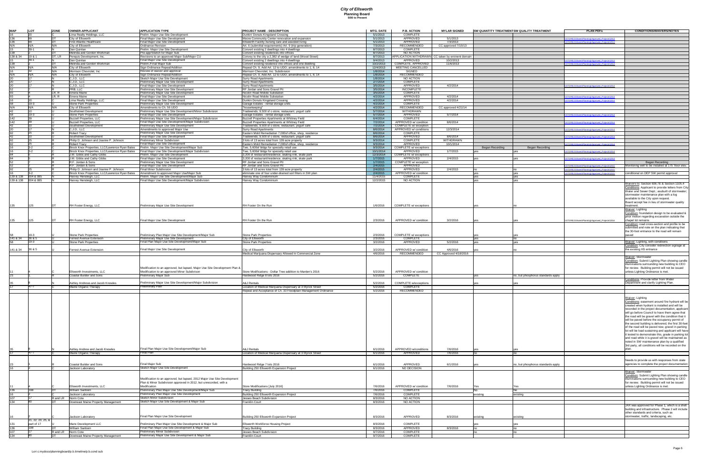| <b>MAP</b>          | <b>LOT</b>            | <b>IZONE</b>       | OWNER-APPLICANT                                                                           | <b>APPLICATION TYPE</b>                                                                                                                                                                                                                                               | <b>PROJECT NAME - DESCRIPTION</b>                                                                                  | <b>MTG. DATE</b>                 | <b>P.B. ACTION</b>                                          | <b>MYLAR SIGNED</b>                            | <b>SW QUANTITY TREATMENTSW QUALITY TREATMENT</b> | <b>PLAN PDFs</b>                                                                                       | <b>CONDITIONS/WAIVERS/NOTES</b>                                                                                                                                                                                                                                                                                                                                                                                                                                                                                                                                                                                                                                                                                            |
|---------------------|-----------------------|--------------------|-------------------------------------------------------------------------------------------|-----------------------------------------------------------------------------------------------------------------------------------------------------------------------------------------------------------------------------------------------------------------------|--------------------------------------------------------------------------------------------------------------------|----------------------------------|-------------------------------------------------------------|------------------------------------------------|--------------------------------------------------|--------------------------------------------------------------------------------------------------------|----------------------------------------------------------------------------------------------------------------------------------------------------------------------------------------------------------------------------------------------------------------------------------------------------------------------------------------------------------------------------------------------------------------------------------------------------------------------------------------------------------------------------------------------------------------------------------------------------------------------------------------------------------------------------------------------------------------------------|
|                     |                       |                    | Lima Realty Holdings, LLC                                                                 | Prelim, Maior Use Site Development                                                                                                                                                                                                                                    | Dunkin' Donuts Kingsland Crossing                                                                                  | 5/1/2013                         | <b>COMPLETE</b>                                             |                                                |                                                  |                                                                                                        |                                                                                                                                                                                                                                                                                                                                                                                                                                                                                                                                                                                                                                                                                                                            |
|                     |                       |                    | City of Ellsworth<br><b>First Atlantic Healthcare</b>                                     | Final Major Use Site Development<br>Final Major Use Site Development                                                                                                                                                                                                  | Moore Community Center renovation and expansion<br>Ellsworth Facility nursing care and assisted living             | 5/1/2013<br>5/1/2013             | APPROVED<br>APPROVED                                        | 5/1/2013<br>7/3/2013                           |                                                  | \STORE1\Shares\Planning\Approved_Projects\2013<br>STORE1\Shares\Planning\Approved Projects\2013        |                                                                                                                                                                                                                                                                                                                                                                                                                                                                                                                                                                                                                                                                                                                            |
| N/A                 | N/A                   |                    | City of Ellsworth                                                                         | <b>Ordinance Revision</b>                                                                                                                                                                                                                                             | Art. 6 (submittal requirements) Art. 9 (trip generation)                                                           | 7/3/2013                         | <b>RECOMMENDED</b>                                          | CC approved 7/15/13                            |                                                  |                                                                                                        |                                                                                                                                                                                                                                                                                                                                                                                                                                                                                                                                                                                                                                                                                                                            |
|                     |                       |                    | <b>Dan Quinlan</b><br>Melinda and Gordon Workman                                          | Prelim. Major Use Site Development<br>Pre-app/Sketch for Major Sub                                                                                                                                                                                                    | Convert existing 2 dwellings into 4 dwellings<br>Convert existing residences into offices                          | 8/7/2013<br>8/7/2013             | <b>COMPLETE</b><br>NO ACTION                                |                                                |                                                  |                                                                                                        |                                                                                                                                                                                                                                                                                                                                                                                                                                                                                                                                                                                                                                                                                                                            |
| 138 & 34            | $ 19 \& 1$            | DT, LR             | Penquis Development, Inc.                                                                 | Revisions to an approved Major Sub/Major CU                                                                                                                                                                                                                           | Convey to the city a 2,382 sf wedge of land (Wood Street)                                                          | 8/7/2013                         |                                                             | PLICATION WITHDRAWN CC taken by eminent domain |                                                  |                                                                                                        |                                                                                                                                                                                                                                                                                                                                                                                                                                                                                                                                                                                                                                                                                                                            |
|                     | 139-1                 |                    | Dan Quinlan<br>Melinda and Gordon Workman                                                 | Final Major Use Site Development<br>Prelim./Final Major Sub                                                                                                                                                                                                           | Convert existing 2 dwellings into 4 dwellings<br>Convert existing residence into offices and one dwelling          | 9/4/2013<br>10/2/2013            | APPROVED<br>COMPLETE, APPROVED                              | 10/2/2013<br>11/6/2013                         |                                                  | TORE1\Shares\Planning\Approved Projects\2013<br>STORE1\Shares\Planning\Approved_Projects\2013          |                                                                                                                                                                                                                                                                                                                                                                                                                                                                                                                                                                                                                                                                                                                            |
|                     |                       |                    | City of Ellsworth                                                                         | Sign Ordinance Repeal/Addition                                                                                                                                                                                                                                        | Repeal Ch. 9, Add Art. 12 to UDO; amendments to 1, 8, 14                                                           | 12/4/2013                        | <b>MEETING CANCELLED</b>                                    |                                                |                                                  |                                                                                                        |                                                                                                                                                                                                                                                                                                                                                                                                                                                                                                                                                                                                                                                                                                                            |
|                     | IN/A                  |                    | Morrison Chevrolet, Inc<br>City of Ellsworth                                              | Review of waiver and approval<br>Sign Ordinance Repeal/Addition                                                                                                                                                                                                       | Morrison Chevrolet, Inc. Subdivision<br>Repeal Ch. 9, Add Art. 12 to UDO; amendments to 1, 8, 14                   | 1/8/2014<br>1/8/2014             | <b>SIGNED</b><br>RECOMMENDED                                |                                                |                                                  |                                                                                                        |                                                                                                                                                                                                                                                                                                                                                                                                                                                                                                                                                                                                                                                                                                                            |
|                     |                       |                    | $0.5.01$ , LLC                                                                            | Sketch Major Use Site Development                                                                                                                                                                                                                                     | <b>Surry Road Apartments</b>                                                                                       | 1/8/2014                         | NO ACTION                                                   |                                                |                                                  |                                                                                                        |                                                                                                                                                                                                                                                                                                                                                                                                                                                                                                                                                                                                                                                                                                                            |
|                     |                       |                    | C.J.D., LLC<br>C.J.D., LLC                                                                | Preliminary Major Use Site Development<br>Final Major Use Site Development                                                                                                                                                                                            | <b>Surry Road Apartments</b><br><b>Surry Road Apartments</b>                                                       | 2/7/2014<br>3/5/2014             | <b>COMPLETE</b><br>APPROVED                                 | 4/2/2014                                       |                                                  |                                                                                                        |                                                                                                                                                                                                                                                                                                                                                                                                                                                                                                                                                                                                                                                                                                                            |
|                     |                       |                    | <b>PRB, LLC</b>                                                                           | Preliminary Major Use Site Development                                                                                                                                                                                                                                | RF Jordan and Sons Gravel Pit                                                                                      | 3/5/2014                         | <b>INCOMPLETE</b>                                           |                                                |                                                  | TORE1\Shares\Planning\Approved Projects\2014                                                           |                                                                                                                                                                                                                                                                                                                                                                                                                                                                                                                                                                                                                                                                                                                            |
|                     |                       |                    | Emera Maine                                                                               | Preliminary Major Use Site Development                                                                                                                                                                                                                                | Nicolin Road Mobile Substation                                                                                     | 3/5/2014                         | <b>COMPLETE</b>                                             |                                                |                                                  |                                                                                                        |                                                                                                                                                                                                                                                                                                                                                                                                                                                                                                                                                                                                                                                                                                                            |
|                     |                       |                    | Emera Maine<br><b>Ima Realty Holdings, LLC</b>                                            | Final Major Use Site Development<br>Final Major Use Site Development                                                                                                                                                                                                  | Nicolin Road Mobile Substation<br>Dunkin Donuts Kingsland Crossing                                                 | 4/2/2014<br>4/2/2014             | APPROVED<br>APPROVED                                        | 4/2/2014<br>4/2/2014                           |                                                  | STORE1\Shares\Planning\Approved Projects\2014<br><b>NSTORE1\Shares\Planning\Approved_Projects\2014</b> |                                                                                                                                                                                                                                                                                                                                                                                                                                                                                                                                                                                                                                                                                                                            |
|                     | $19-3$                |                    | <b>Stone Park Properties</b>                                                              | Preliminary Major Use Site Development                                                                                                                                                                                                                                | Garage Estates - rental storage units                                                                              | 4/2/2014                         | <b>COMPLETE</b>                                             |                                                |                                                  |                                                                                                        |                                                                                                                                                                                                                                                                                                                                                                                                                                                                                                                                                                                                                                                                                                                            |
|                     | IN/A                  |                    | City of Ellsworth<br>Southstreet Development                                              | Amendments to Ch. 56 UDO<br>Preliminary Major Use Site Development/Minor Subdivision                                                                                                                                                                                  | "housekeeping"<br>radewinds; 9,500 sf c-store, restaurant, yogurt café                                             | 4/2/2014<br>5/7/2014             | RECOMMENDED<br><b>WITHDRAWN</b>                             | CC approved 4/21/14                            |                                                  |                                                                                                        |                                                                                                                                                                                                                                                                                                                                                                                                                                                                                                                                                                                                                                                                                                                            |
|                     | $19-3$                |                    | <b>Stone Park Properties</b>                                                              | Final Major Use Site Development                                                                                                                                                                                                                                      | Garage Estates - rental storage units                                                                              | 5/7/2014                         | APPROVED                                                    | 5/7/2014                                       |                                                  | STORE1\Shares\Planning\Approved_Projects\2014                                                          |                                                                                                                                                                                                                                                                                                                                                                                                                                                                                                                                                                                                                                                                                                                            |
|                     |                       |                    | <b>Buzzell Properties, LLC</b><br><b>Buzzell Properties, LLC</b>                          | Preliminary Major Use Site Development/Major Subdivision<br>Final Major Use Site Development/Major Subdivision                                                                                                                                                        | <b>Buzzell Properties Apartments at Whitney Field</b><br>Buzzell Properties Apartments at Whitney Field            | 6/4/2014<br>7/2/2014             | <b>COMPLETE</b><br>APPROVED w/ condition                    | 8/6/2014                                       |                                                  |                                                                                                        |                                                                                                                                                                                                                                                                                                                                                                                                                                                                                                                                                                                                                                                                                                                            |
|                     |                       |                    | Southstreet Development                                                                   | <b>Preliminary Major Use Site Development</b>                                                                                                                                                                                                                         | Tradewinds; 9,500 sf c-store, restaurant, yogurt café                                                              | 7/2/2014                         | <b>COMPLETE w/ exception</b>                                |                                                |                                                  | \STORE1\Shares\Planning\Approved Projects\2014                                                         |                                                                                                                                                                                                                                                                                                                                                                                                                                                                                                                                                                                                                                                                                                                            |
|                     |                       |                    | C.J.D., LLC                                                                               | Amendments to approved Major Use                                                                                                                                                                                                                                      | <b>Surry Road Apartments</b>                                                                                       | 8/6/2014                         | APPROVED w/ conditions                                      | 12/3/2014                                      |                                                  | STORE1\Shares\Planning\Approved_Projects\2014                                                          |                                                                                                                                                                                                                                                                                                                                                                                                                                                                                                                                                                                                                                                                                                                            |
|                     |                       |                    | <b>Robert Tracy</b><br>Southstreet Development                                            | <b>Preliminary Major Use Site Development</b><br>Final Major Use Site Development                                                                                                                                                                                     | Eastern Mold Remediation 7,000sf office, shop, residence<br>Tradewinds; 9,500 sf c-store, restaurant, yogurt café  | 8/6/2014<br>8/6/2014             | <b>COMPLETE</b><br>APPROVED                                 | 8/6/2014                                       |                                                  | STORE1\Shares\Planning\Approved Projects\2014                                                          |                                                                                                                                                                                                                                                                                                                                                                                                                                                                                                                                                                                                                                                                                                                            |
|                     |                       |                    | Philip D. Johnson and Joanne P. Johnson                                                   | <b>Preliminary Minor Subdivision</b>                                                                                                                                                                                                                                  | 3 lots of 13 acres total from 139 acre property                                                                    | 9/3/2014                         | <b>COMPLETE</b>                                             | WITHDRAWN                                      |                                                  |                                                                                                        |                                                                                                                                                                                                                                                                                                                                                                                                                                                                                                                                                                                                                                                                                                                            |
|                     |                       |                    | <b>Robert Tracy</b><br>Brock Knox Properties, LLC/Lawrence Ryan Bates                     | Final Major Use Site Development<br>Prelim. Major Use Site Development/Major Sub                                                                                                                                                                                      | Eastern Mold Remediation 7,000sf office, shop, residence<br>Two, 5,600sf bldgs for specialty retail use            | 9/3/2014<br>9/3/2014             | APPROVED<br>COMPLETE w/ exceptions                          | 10/1/2014                                      | <b>Began Recording</b><br>Began Recording        | STORE1\Shares\Planning\Approved_Projects\2014                                                          |                                                                                                                                                                                                                                                                                                                                                                                                                                                                                                                                                                                                                                                                                                                            |
|                     |                       |                    | Brock Knox Properties, LLC/Lawrence Ryan Bates                                            | Final Major Use Site Development/Major Subdivision                                                                                                                                                                                                                    | Two, 5,600sf bldgs for specialty retail use                                                                        | 10/1/2014                        | APPROVED                                                    | 1/7/2015                                       |                                                  | TORE1\Shares\Planning\Approved Projects\2014                                                           |                                                                                                                                                                                                                                                                                                                                                                                                                                                                                                                                                                                                                                                                                                                            |
|                     |                       |                    | J.M. Gibbs and Cathy Gibbs                                                                | Prelim. Major Use Site Development                                                                                                                                                                                                                                    | 3,200 sf restaurant/residence, skating rink, skate park<br>3.200 sf restaurant/residence. skating rink. skate park | 12/3/2014                        | COMPLETE w/ exceptions                                      | 2/4/2015                                       |                                                  |                                                                                                        |                                                                                                                                                                                                                                                                                                                                                                                                                                                                                                                                                                                                                                                                                                                            |
|                     |                       |                    | J.M. Gibbs and Cathy Gibbs<br>R.F. Jordan & Sons                                          | [Final Major Use Site Development<br><b>Preliminary Major Use Site Development</b>                                                                                                                                                                                    | RF Jordan and Sons Gravel Pit                                                                                      | 1/7/2015<br>1/7/2015             | APPROVED<br><b>COMPLETE</b> w/exception                     |                                                |                                                  | TORE1\Shares\Planning\Approved_Projects\2014                                                           | <b>Began Recording</b>                                                                                                                                                                                                                                                                                                                                                                                                                                                                                                                                                                                                                                                                                                     |
|                     |                       |                    | R.F. Jordan & Sons                                                                        | Final Major Use Site Development                                                                                                                                                                                                                                      | RF Jordan and Sons Gravel Pit                                                                                      | 2/4/2015                         | APPROVED                                                    |                                                |                                                  | STORE1\Shares\Planning\Approved_Projects\2015                                                          | Monitoring well to be installed at 175' floor elev.                                                                                                                                                                                                                                                                                                                                                                                                                                                                                                                                                                                                                                                                        |
|                     |                       |                    | Philip D. Johnson and Joanne P. Johnson<br>Brock Knox Properties, LLC/Lawrence Ryan Bates | Final Minor Subdivision<br>Amendment to approved Major Use/Major Sub                                                                                                                                                                                                  | 3 lots of 13 acres total from 139 acre property<br>eliminate one of four under-drained soil filters in SW plan     | 2/4/2015<br>2/4/2015             | APPROVED<br>APPROVED w/ condition                           | 2/4/2015                                       |                                                  | \STORE1\Shares\Planning\Approved Projects\2015<br>STORE1\Shares\Planning\Approved Projects\2015        | conditional on DEP SW permit approval                                                                                                                                                                                                                                                                                                                                                                                                                                                                                                                                                                                                                                                                                      |
|                     | 139 & 138   004 & 085 |                    | Harvey Hensleigh, LLC                                                                     | Prelim. Major Use Site Development/Major Sub                                                                                                                                                                                                                          | Harvey Way Condominium                                                                                             | 11/4/2015                        | <b>COMPLETE</b>                                             |                                                |                                                  |                                                                                                        |                                                                                                                                                                                                                                                                                                                                                                                                                                                                                                                                                                                                                                                                                                                            |
|                     | 139 & 138 004 & 085   |                    | Harvey Hensleigh, LLC                                                                     | Final Major Use Site Development/Major Subdivision                                                                                                                                                                                                                    | Harvey Way Condominium                                                                                             | 12/2/2015                        | NO ACTION                                                   |                                                |                                                  |                                                                                                        | Waivers to: Section 606.7E & Section 1105.4                                                                                                                                                                                                                                                                                                                                                                                                                                                                                                                                                                                                                                                                                |
| $135 -$             | 125                   |                    | RH Foster Energy, LLC                                                                     | Preliminary Major Use Site Development                                                                                                                                                                                                                                | RH Foster On the Run                                                                                               | 1/6/2016                         | <b>COMPLETE w/ exceptions</b>                               |                                                |                                                  |                                                                                                        | Conditions: Applicant to provide letters from City<br>Water and Sewer Dept.; asubuilt of stormwater<br>stormwater maintenance plan with a log<br>available to the City upon request.<br>Board accept fee in lieu of stormwater quality<br>treatment                                                                                                                                                                                                                                                                                                                                                                                                                                                                        |
|                     |                       |                    |                                                                                           |                                                                                                                                                                                                                                                                       |                                                                                                                    |                                  |                                                             |                                                |                                                  |                                                                                                        | <b>Waiver: Lighting</b><br>Condition: foundation design to be evaluated &                                                                                                                                                                                                                                                                                                                                                                                                                                                                                                                                                                                                                                                  |
|                     |                       |                    |                                                                                           |                                                                                                                                                                                                                                                                       |                                                                                                                    |                                  |                                                             |                                                |                                                  |                                                                                                        | prior motion regarding excavation outside the                                                                                                                                                                                                                                                                                                                                                                                                                                                                                                                                                                                                                                                                              |
|                     | 125                   |                    | RH Foster Energy, LLC                                                                     | Final Major Use Site Development                                                                                                                                                                                                                                      | RH Foster On the Run                                                                                               | 2/3/2016                         | APPROVED w/ condition                                       | 3/2/2016                                       |                                                  | \STORE1\Shares\Planning\Approved_Projects\2016                                                         | chapel lot remains                                                                                                                                                                                                                                                                                                                                                                                                                                                                                                                                                                                                                                                                                                         |
|                     |                       |                    |                                                                                           |                                                                                                                                                                                                                                                                       |                                                                                                                    |                                  |                                                             |                                                |                                                  |                                                                                                        | Condition: road cross-section and profile to be<br>submitted and note on the plan indicating that                                                                                                                                                                                                                                                                                                                                                                                                                                                                                                                                                                                                                          |
|                     |                       |                    |                                                                                           |                                                                                                                                                                                                                                                                       |                                                                                                                    |                                  |                                                             |                                                |                                                  |                                                                                                        | the 30-foot entrance to the road will remain                                                                                                                                                                                                                                                                                                                                                                                                                                                                                                                                                                                                                                                                               |
|                     | 19-3                  |                    | <b>Stone Park Properties</b>                                                              | Preliminary Plan Major Use Site Development/Major Sub                                                                                                                                                                                                                 | <b>Stone Park Properties</b>                                                                                       | 2/3/2016                         | <b>COMPLETE w/ exceptions</b>                               |                                                |                                                  |                                                                                                        |                                                                                                                                                                                                                                                                                                                                                                                                                                                                                                                                                                                                                                                                                                                            |
| 141 & 34 36 & 5     | $19-3$                |                    | Forrest Avenue Extension<br><b>Stone Park Properties</b>                                  | Preliminary Major Use Site Development<br>Final Plan Major Use Site Development/Major Sub                                                                                                                                                                             | City of Ellsworth<br><b>Stone Park Properties</b>                                                                  | 2/3/2016<br>3/2/2016             | <b>COMPLETE</b><br>APPROVED                                 | 5/2/2016                                       | <b>VAS</b>                                       |                                                                                                        | Waiver: Lighting, with conditions                                                                                                                                                                                                                                                                                                                                                                                                                                                                                                                                                                                                                                                                                          |
|                     |                       |                    |                                                                                           |                                                                                                                                                                                                                                                                       |                                                                                                                    |                                  |                                                             |                                                |                                                  |                                                                                                        | Condition: City consider redirection signage at                                                                                                                                                                                                                                                                                                                                                                                                                                                                                                                                                                                                                                                                            |
| $141 & 34$   36 & 5 |                       |                    | Forrest Avenue Extension                                                                  | Final Major Use Site Development                                                                                                                                                                                                                                      | City of Ellsworth<br>Medical Mariiuana Dispensary Allowed In Commercial Zone                                       | 3/2/2016<br>4/6/2016             | APPROVED w/ condition<br>RECOMMENDED                        | 4/6/2016<br>CC Approved 4/18/2016              |                                                  |                                                                                                        | the existing HS entrance                                                                                                                                                                                                                                                                                                                                                                                                                                                                                                                                                                                                                                                                                                   |
|                     |                       |                    |                                                                                           |                                                                                                                                                                                                                                                                       |                                                                                                                    |                                  |                                                             |                                                |                                                  |                                                                                                        | Waiver: Stormwater                                                                                                                                                                                                                                                                                                                                                                                                                                                                                                                                                                                                                                                                                                         |
|                     |                       |                    |                                                                                           |                                                                                                                                                                                                                                                                       |                                                                                                                    |                                  |                                                             |                                                |                                                  |                                                                                                        | Condition: Submit Lighting Plan showing candle                                                                                                                                                                                                                                                                                                                                                                                                                                                                                                                                                                                                                                                                             |
|                     |                       |                    |                                                                                           | Modification to an approved, but lapsed, Major Use Site Development Plan &                                                                                                                                                                                            |                                                                                                                    |                                  |                                                             |                                                |                                                  |                                                                                                        | illuminations surrounding new building to CEO<br>for review. Building permit will not be issued                                                                                                                                                                                                                                                                                                                                                                                                                                                                                                                                                                                                                            |
|                     |                       |                    | Ellsworth Investments, LLC                                                                | Modification to an approved Minor Subdivison                                                                                                                                                                                                                          | Store Modifications - Dollar Tree addition to Marden's 2016                                                        | 5/2/2016                         | APPROVED w/ condition                                       |                                                |                                                  |                                                                                                        | unless Lighting Ordinance is met.                                                                                                                                                                                                                                                                                                                                                                                                                                                                                                                                                                                                                                                                                          |
|                     |                       |                    | Coastal Builder and Sons                                                                  | Preliminary Major Sub                                                                                                                                                                                                                                                 | Hardwood Ridge 8 lots 2016                                                                                         | 5/2/2016                         | <b>COMPLETE</b>                                             |                                                | no, but phosphorus standards apply<br><b>Ves</b> |                                                                                                        |                                                                                                                                                                                                                                                                                                                                                                                                                                                                                                                                                                                                                                                                                                                            |
|                     |                       |                    | Ashley Andrews and Jacob Knowles                                                          | Preliminary Major Use Site Development/Major Subdivision                                                                                                                                                                                                              | A&J Rentals                                                                                                        | 5/2/2016                         | <b>COMPLETE</b> w/exceptions                                |                                                |                                                  |                                                                                                        | Conditions: Provide letter from Water<br>Department and clarify Lighting Plan.                                                                                                                                                                                                                                                                                                                                                                                                                                                                                                                                                                                                                                             |
|                     |                       |                    | <b>Maine Organic Therapy</b>                                                              | <b>Preliminary Plan</b>                                                                                                                                                                                                                                               | Location of Medical Marijuana Dispensary at 3 Myrick Street                                                        | 5/2/2016                         | <b>COMPLETE</b>                                             |                                                |                                                  |                                                                                                        |                                                                                                                                                                                                                                                                                                                                                                                                                                                                                                                                                                                                                                                                                                                            |
|                     |                       |                    |                                                                                           |                                                                                                                                                                                                                                                                       | Repeal and Acceptance of Ch. 33 Floodplain Management Ordinance                                                    | 5/2/2016                         | RECOMMENDED                                                 |                                                |                                                  |                                                                                                        |                                                                                                                                                                                                                                                                                                                                                                                                                                                                                                                                                                                                                                                                                                                            |
|                     |                       |                    | Ashley Andrew and Jacob Knowles                                                           | Final Plan Major Use Site Development/Major Sub                                                                                                                                                                                                                       | <b>A&amp;J Rentals</b>                                                                                             | 6/1/2016                         | APPROVED w/conditions                                       | 7/6/2016                                       |                                                  |                                                                                                        | <b>Waiver: Lighting</b><br>Conditions: easement around fire hydrant will be<br>created when hydrant is installed and will be<br>recorded in the project documentation, applicant<br>will go before Council to have them agree that<br>the road will be gravel with the condition that it<br>will be paved before the occupancy permit of<br>the second building is delivered, the first 30-feet<br>of the road will be paved now, gravel in parking<br>lot will be load sustaining and applicant will have<br>it tested to demonstrate this, grade in parking lot<br>and road while it is gravel will be maintained as<br>noted in SW maintenance plan by a qualified<br>3rd party, all conditions will be recorded on the |
|                     | $\sqrt{47-7}$         |                    | Maine Organic Therapy                                                                     | <b>Final Plan</b>                                                                                                                                                                                                                                                     | Location of Medical Marijuana Dispensary at 3 Myrick Street                                                        | 6/1/2016                         | APPROVED                                                    | 7/6/2016                                       | lno –                                            |                                                                                                        |                                                                                                                                                                                                                                                                                                                                                                                                                                                                                                                                                                                                                                                                                                                            |
|                     |                       |                    |                                                                                           |                                                                                                                                                                                                                                                                       |                                                                                                                    |                                  |                                                             |                                                |                                                  |                                                                                                        | Needs to provide us with responses from state                                                                                                                                                                                                                                                                                                                                                                                                                                                                                                                                                                                                                                                                              |
|                     |                       |                    | <b>Coastal Builder and Sons</b>                                                           | Final Major Sub                                                                                                                                                                                                                                                       | Hardwood Ridge 7 lots 2016                                                                                         | 6/1/2016                         | APPROVED                                                    | 6/1/2016                                       | no, but phosphorus standards apply               |                                                                                                        | agencies to complete the project documentation                                                                                                                                                                                                                                                                                                                                                                                                                                                                                                                                                                                                                                                                             |
|                     |                       |                    | <b>Jackson Laboratory</b>                                                                 | Sketch Major Use Site Development                                                                                                                                                                                                                                     | Building 250 Ellsworth Expansion Project                                                                           | 6/1/2016                         | NO DECISION                                                 |                                                |                                                  |                                                                                                        |                                                                                                                                                                                                                                                                                                                                                                                                                                                                                                                                                                                                                                                                                                                            |
| 136                 |                       |                    | Ellsworth Investments, LLC<br>William Sanborn<br>Jackson Laboratory                       | Modification to an approved, but lapsed, 2012 Major Use Site Development<br>Plan & Minor Subdivision approved in 2012, but unrecorded, with a<br>Modification<br>Preliminary Plan Major Use Site Development/Major Sub<br>Preliminary Plan Major Use Site Development | Store Modifications [July 2016]<br><b>Tracy Building</b><br>Building 250 Ellsworth Expansion Project               | 7/6/2016<br>7/6/2016<br>7/6/2016 | APPROVED w/ condition<br><b>COMPLETE</b><br><b>COMPLETE</b> | 7/6/2016                                       | existing<br>existing                             |                                                                                                        | Waiver: Stormwater<br>Condition: Submit Lighting Plan showing candle<br>illuminations surrounding new building to CEO<br>for review. Building permit will not be issued<br>unless Lighting Ordinance is met.                                                                                                                                                                                                                                                                                                                                                                                                                                                                                                               |
|                     |                       |                    | R and LR Norm Cote                                                                        | Sketch Minor Subdivision                                                                                                                                                                                                                                              | <b>Jesses Beach Subdivision</b>                                                                                    | 8/3/2016                         | NO ACTION                                                   |                                                |                                                  |                                                                                                        |                                                                                                                                                                                                                                                                                                                                                                                                                                                                                                                                                                                                                                                                                                                            |
|                     |                       |                    | Downeast Maine Property Management                                                        | Sketch Major Use Site Development & Major Sub                                                                                                                                                                                                                         | Franklin Court                                                                                                     | 8/3/2016                         | NO ACTION                                                   |                                                |                                                  |                                                                                                        | JAX was approved for Phase 1, which is a shell                                                                                                                                                                                                                                                                                                                                                                                                                                                                                                                                                                                                                                                                             |
|                     |                       |                    |                                                                                           |                                                                                                                                                                                                                                                                       |                                                                                                                    |                                  |                                                             |                                                |                                                  |                                                                                                        | building and infrastructure. Phase 2 will include                                                                                                                                                                                                                                                                                                                                                                                                                                                                                                                                                                                                                                                                          |
|                     |                       |                    | Jackson Laboratory                                                                        | Final Plan Major Use Site Development                                                                                                                                                                                                                                 | Building 250 Ellsworth Expansion Project                                                                           | 8/3/2016                         | APPROVED                                                    | 8/3/2016                                       | Lexisting                                        |                                                                                                        | other standards and criteria, such as<br>stormwater, traffic, landscaping, etc.                                                                                                                                                                                                                                                                                                                                                                                                                                                                                                                                                                                                                                            |
|                     | [21, 22, 23, 25, 8]   |                    |                                                                                           |                                                                                                                                                                                                                                                                       |                                                                                                                    |                                  |                                                             |                                                |                                                  |                                                                                                        |                                                                                                                                                                                                                                                                                                                                                                                                                                                                                                                                                                                                                                                                                                                            |
| 131                 | part of 17            |                    | Manx Development LLC                                                                      | Preliminary Plan Major Use Site Development & Major Sub                                                                                                                                                                                                               | <b>Ellsworth Workforce Housing Project</b>                                                                         | 8/3/2016                         | <b>COMPLETE</b>                                             |                                                |                                                  |                                                                                                        |                                                                                                                                                                                                                                                                                                                                                                                                                                                                                                                                                                                                                                                                                                                            |
| 136<br>107          | $\sqrt{117}$          | R and LR Norm Cote | <b>William Sanborn</b>                                                                    | <b>Final Plan Major Use Site Development &amp; Major Sub</b><br><b>Preliminary Minor Subdivision</b>                                                                                                                                                                  | <b>Tracy Building</b><br><b>Jesses Beach Subdivision</b>                                                           | 8/3/2016<br>9/7/2016             | APPROVED<br><b>COMPLETE</b>                                 | 8/3/2016                                       |                                                  |                                                                                                        |                                                                                                                                                                                                                                                                                                                                                                                                                                                                                                                                                                                                                                                                                                                            |
| 134                 |                       |                    | Downeast Maine Property Management                                                        | <b>Preliminary Major Use Site Development &amp; Major Sub</b>                                                                                                                                                                                                         | <b>Franklin Court</b>                                                                                              | 9/7/2016                         | <b>COMPLETE</b>                                             |                                                |                                                  |                                                                                                        |                                                                                                                                                                                                                                                                                                                                                                                                                                                                                                                                                                                                                                                                                                                            |